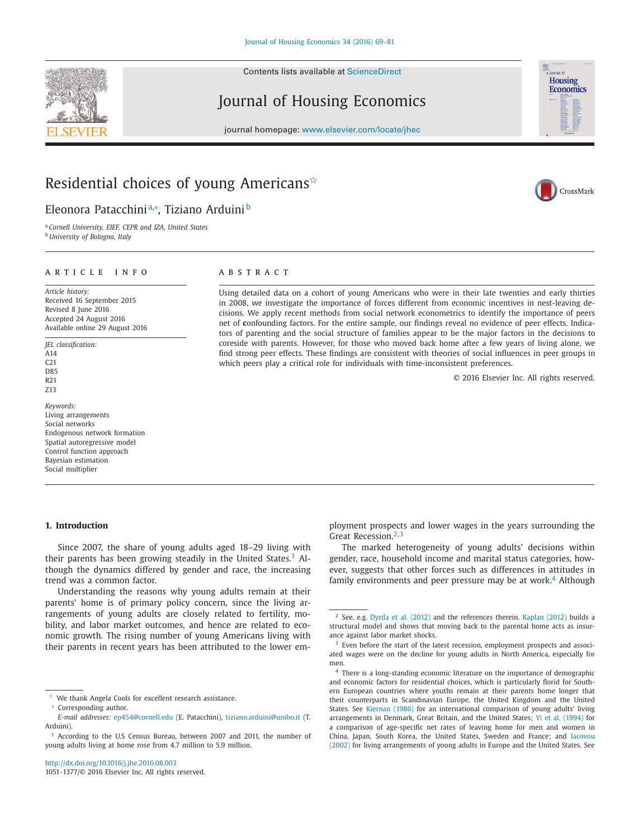Contents lists available at [ScienceDirect](http://www.ScienceDirect.com)

# Journal of Housing Economics

journal homepage: [www.elsevier.com/locate/jhec](http://www.elsevier.com/locate/jhec)

## Residential choices of young Americans $^{\scriptscriptstyle\mathrm{\mathop{\simeq}}}$

Eleonora Patacchiniª<sub>\*</sub>, Tiziano Arduini<sup>b</sup>

<sup>a</sup> *Cornell University, EIEF, CEPR and IZA, United States* <sup>b</sup> *University of Bologna, Italy*

#### a r t i c l e i n f o

*Article history:* Received 16 September 2015 Revised 8 June 2016 Accepted 24 August 2016 Available online 29 August 2016

*JEL classification:* A14  $C21$ D85  $R<sub>21</sub>$ 

Z13

*Keywords:* Living arrangements Social networks Endogenous network formation Spatial autoregressive model Control function approach Bayesian estimation Social multiplier

#### **1. Introduction**

Since 2007, the share of young adults aged 18–29 living with their parents has been growing steadily in the United States.<sup>1</sup> Although the dynamics differed by gender and race, the increasing trend was a common factor.

Understanding the reasons why young adults remain at their parents' home is of primary policy concern, since the living arrangements of young adults are closely related to fertility, mobility, and labor market outcomes, and hence are related to economic growth. The rising number of young Americans living with their parents in recent years has been attributed to the lower em-

<http://dx.doi.org/10.1016/j.jhe.2016.08.003>

1051-1377/© 2016 Elsevier Inc. All rights reserved.

#### A B S T R A C T

Using detailed data on a cohort of young Americans who were in their late twenties and early thirties in 2008, we investigate the importance of forces different from economic incentives in nest-leaving decisions. We apply recent methods from social network econometrics to identify the importance of peers net of **c**onfounding factors. For the entire sample, our findings reveal no evidence of peer effects. Indicators of parenting and the social structure of families appear to be the major factors in the decisions to coreside with parents. However, for those who moved back home after a few years of living alone, we find strong peer effects. These findings are consistent with theories of social influences in peer groups in which peers play a critical role for individuals with time-inconsistent preferences.

© 2016 Elsevier Inc. All rights reserved.

ployment prospects and lower wages in the years surrounding the Great Recession.<sup>2,3</sup>

The marked heterogeneity of young adults' decisions within gender, race, household income and marital status categories, however, suggests that other forces such as differences in attitudes in family environments and peer pressure may be at work. $4$  Although







 $\frac{1}{24}$ We thank Angela Cools for excellent research assistance.

Corresponding author.

*E-mail addresses:* [ep454@cornell.edu](mailto:ep454@cornell.edu) (E. Patacchini), [tiziano.arduini@unibo.it](mailto:tiziano.arduini@unibo.it) (T. Arduini).

<sup>1</sup> According to the U.S Census Bureau, between 2007 and 2011, the number of young adults living at home rose from 4.7 million to 5.9 million.

<sup>&</sup>lt;sup>2</sup> See, e.g. Dyrda et al. [\(2012\)](#page-11-0) and the references therein. [Kaplan](#page-11-0) (2012) builds a structural model and shows that moving back to the parental home acts as insurance against labor market shocks.

<sup>&</sup>lt;sup>3</sup> Even before the start of the latest recession, employment prospects and associated wages were on the decline for young adults in North America, especially for men.

<sup>&</sup>lt;sup>4</sup> There is a long-standing economic literature on the importance of demographic and economic factors for residential choices, which is particularly florid for Southern European countries where youths remain at their parents home longer that their counterparts in Scandinavian Europe, the United Kingdom and the United States. See [Kiernan](#page-11-0) (1986) for an international comparison of young adults' living arrangements in Denmark, Great Britain, and the United States; Yi et al. [\(1994\)](#page-12-0) for a comparison of age-specific net rates of leaving home for men and women in China, Japan, South Korea, the United States, Sweden and France; and Iacovou (2002) for living arrangements [of young adults in Europe and the](#page-11-0) United States. See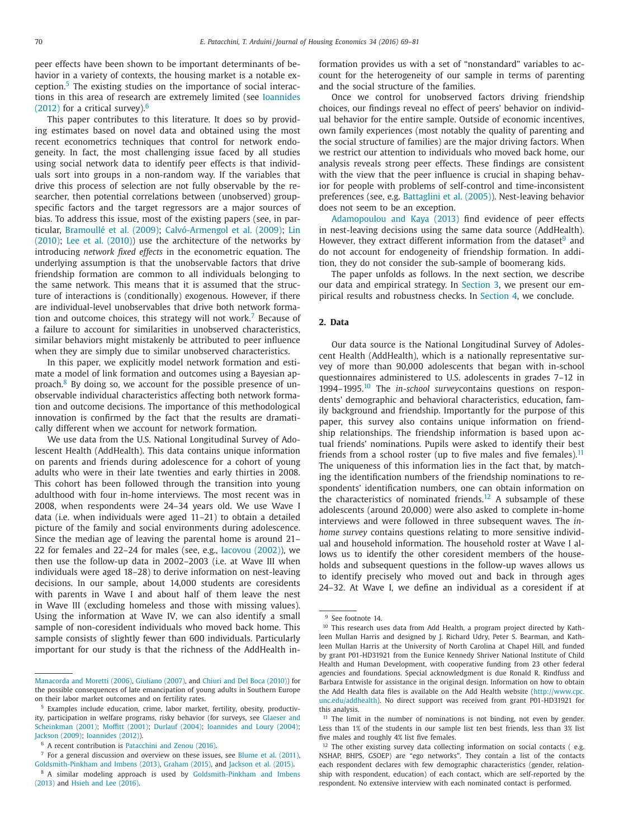peer effects have been shown to be important determinants of behavior in a variety of contexts, the housing market is a notable exception.<sup>5</sup> The existing studies on the importance of social interactions in this area of research are [extremely](#page-11-0) limited (see Ioannides (2012) for a critical survey). $6$ 

This paper contributes to this literature. It does so by providing estimates based on novel data and obtained using the most recent econometrics techniques that control for network endogeneity. In fact, the most challenging issue faced by all studies using social network data to identify peer effects is that individuals sort into groups in a non-random way. If the variables that drive this process of selection are not fully observable by the researcher, then potential correlations between (unobserved) groupspecific factors and the target regressors are a major sources of bias. To address this issue, most of the existing papers (see, in particular, [Bramoullé et](#page-11-0) al. (2009); [Calvó-Armengol](#page-11-0) et al. (2009); Lin (2010); Lee et al. [\(2010\)\)](#page-11-0) use the architecture of the networks by introducing *network fixed effects* in the econometric equation. The underlying assumption is that the unobservable factors that drive friendship formation are common to all individuals belonging to the same network. This means that it is assumed that the structure of interactions is (conditionally) exogenous. However, if there are individual-level unobservables that drive both network formation and outcome choices, this strategy will not work.<sup>7</sup> Because of a failure to account for similarities in unobserved characteristics, similar behaviors might mistakenly be attributed to peer influence when they are simply due to similar unobserved characteristics.

In this paper, we explicitly model network formation and estimate a model of link formation and outcomes using a Bayesian approach. $8$  By doing so, we account for the possible presence of unobservable individual characteristics affecting both network formation and outcome decisions. The importance of this methodological innovation is confirmed by the fact that the results are dramatically different when we account for network formation.

We use data from the U.S. National Longitudinal Survey of Adolescent Health (AddHealth). This data contains unique information on parents and friends during adolescence for a cohort of young adults who were in their late twenties and early thirties in 2008. This cohort has been followed through the transition into young adulthood with four in-home interviews. The most recent was in 2008, when respondents were 24–34 years old. We use Wave I data (i.e. when individuals were aged 11–21) to obtain a detailed picture of the family and social environments during adolescence. Since the median age of leaving the parental home is around 21– 22 for females and 22–24 for males (see, e.g., [Iacovou](#page-11-0) (2002)), we then use the follow-up data in 2002–2003 (i.e. at Wave III when individuals were aged 18–28) to derive information on nest-leaving decisions. In our sample, about 14,000 students are coresidents with parents in Wave I and about half of them leave the nest in Wave III (excluding homeless and those with missing values). Using the information at Wave IV, we can also identify a small sample of non-coresident individuals who moved back home. This sample consists of slightly fewer than 600 individuals. Particularly important for our study is that the richness of the AddHealth information provides us with a set of "nonstandard" variables to account for the heterogeneity of our sample in terms of parenting and the social structure of the families.

Once we control for unobserved factors driving friendship choices, our findings reveal no effect of peers' behavior on individual behavior for the entire sample. Outside of economic incentives, own family experiences (most notably the quality of parenting and the social structure of families) are the major driving factors. When we restrict our attention to individuals who moved back home, our analysis reveals strong peer effects. These findings are consistent with the view that the peer influence is crucial in shaping behavior for people with problems of self-control and time-inconsistent preferences (see, e.g. [Battaglini](#page-11-0) et al. (2005)). Nest-leaving behavior does not seem to be an exception.

[Adamopoulou](#page-11-0) and Kaya (2013) find evidence of peer effects in nest-leaving decisions using the same data source (AddHealth). However, they extract different information from the dataset $9$  and do not account for endogeneity of friendship formation. In addition, they do not consider the sub-sample of boomerang kids.

The paper unfolds as follows. In the next section, we describe our data and empirical strategy. In [Section](#page-5-0) 3, we present our empirical results and robustness checks. In [Section](#page-9-0) 4, we conclude.

#### **2. Data**

Our data source is the National Longitudinal Survey of Adolescent Health (AddHealth), which is a nationally representative survey of more than 90,000 adolescents that began with in-school questionnaires administered to U.S. adolescents in grades 7–12 in 1994–1995.<sup>10</sup> The *in-school survey*contains questions on respondents' demographic and behavioral characteristics, education, family background and friendship. Importantly for the purpose of this paper, this survey also contains unique information on friendship relationships. The friendship information is based upon actual friends' nominations. Pupils were asked to identify their best friends from a school roster (up to five males and five females).<sup>11</sup> The uniqueness of this information lies in the fact that, by matching the identification numbers of the friendship nominations to respondents' identification numbers, one can obtain information on the characteristics of nominated friends.<sup>12</sup> A subsample of these adolescents (around 20,000) were also asked to complete in-home interviews and were followed in three subsequent waves. The *inhome survey* contains questions relating to more sensitive individual and household information. The household roster at Wave I allows us to identify the other coresident members of the households and subsequent questions in the follow-up waves allows us to identify precisely who moved out and back in through ages 24–32. At Wave I, we define an individual as a coresident if at

[Manacorda](#page-11-0) and Moretti (2006), [Giuliano](#page-11-0) (2007), and Chiuri and Del Boca [\(2010\)\)](#page-11-0) for the possible consequences of late emancipation of young adults in Southern Europe on their labor market outcomes and on fertility rates.

<sup>5</sup> Examples include education, crime, labor market, fertility, obesity, productivity, [participation](#page-11-0) in welfare programs, risky behavior (for surveys, see Glaeser and Scheinkman (2001); [Moffitt](#page-11-0) (2001); [Durlauf](#page-11-0) (2004); [Ioannides](#page-11-0) and Loury (2004); [Jackson](#page-11-0) (2009); [Ioannides](#page-11-0) (2012)).

<sup>6</sup> A recent contribution is [Patacchini](#page-12-0) and Zenou (2016).

<sup>7</sup> For a general discussion and overview on these issues, see Blume et al. [\(2011\),](#page-11-0) [Goldsmith-Pinkham](#page-11-0) and Imbens (2013), [Graham](#page-11-0) (2015), and [Jackson](#page-11-0) et al. (2015).

<sup>8</sup> A similar modeling approach is used by [Goldsmith-Pinkham](#page-11-0) and Imbens (2013) and Hsieh and Lee [\(2016\).](#page-11-0)

<sup>&</sup>lt;sup>9</sup> See footnote 14.

<sup>&</sup>lt;sup>10</sup> This research uses data from Add Health, a program project directed by Kathleen Mullan Harris and designed by J. Richard Udry, Peter S. Bearman, and Kathleen Mullan Harris at the University of North Carolina at Chapel Hill, and funded by grant P01-HD31921 from the Eunice Kennedy Shriver National Institute of Child Health and Human Development, with cooperative funding from 23 other federal agencies and foundations. Special acknowledgment is due Ronald R. Rindfuss and Barbara Entwisle for assistance in the original design. Information on how to obtain the Add Health data files is available on the Add Health website (http://www.cpc. [unc.edu/addhealth\).](http://www.cpc.unc.edu/addhealth) No direct support was received from grant P01-HD31921 for this analysis.

<sup>&</sup>lt;sup>11</sup> The limit in the number of nominations is not binding, not even by gender. Less than 1% of the students in our sample list ten best friends, less than 3% list five males and roughly 4% list five females.

<sup>&</sup>lt;sup>12</sup> The other existing survey data collecting information on social contacts (e.g. NSHAP, BHPS, GSOEP) are "ego networks". They contain a list of the contacts each respondent declares with few demographic characteristics (gender, relationship with respondent, education) of each contact, which are self-reported by the respondent. No extensive interview with each nominated contact is performed.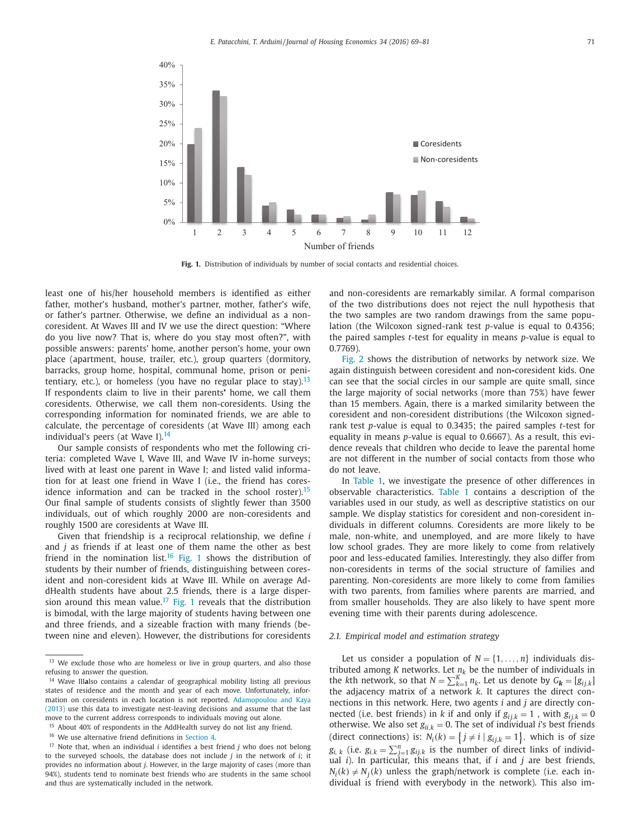<span id="page-2-0"></span>

**Fig. 1.** Distribution of individuals by number of social contacts and residential choices.

least one of his/her household members is identified as either father, mother's husband, mother's partner, mother, father's wife, or father's partner. Otherwise, we define an individual as a noncoresident. At Waves III and IV we use the direct question: "Where do you live now? That is, where do you stay most often?", with possible answers: parents' home, another person's home, your own place (apartment, house, trailer, etc.), group quarters (dormitory, barracks, group home, hospital, communal home, prison or penitentiary, etc.), or homeless (you have no regular place to stay).<sup>13</sup> If respondents claim to live in their parents**'** home, we call them coresidents. Otherwise, we call them non-coresidents. Using the corresponding information for nominated friends, we are able to calculate, the percentage of coresidents (at Wave III) among each individual's peers (at Wave I). $^{14}$ 

Our sample consists of respondents who met the following criteria: completed Wave I, Wave III, and Wave IV in-home surveys; lived with at least one parent in Wave I; and listed valid information for at least one friend in Wave I (i.e., the friend has coresidence information and can be tracked in the school roster).<sup>15</sup> Our final sample of students consists of slightly fewer than 3500 individuals, out of which roughly 2000 are non-coresidents and roughly 1500 are coresidents at Wave III.

Given that friendship is a reciprocal relationship, we define *i* and *j* as friends if at least one of them name the other as best friend in the nomination list.<sup>16</sup> Fig. 1 shows the distribution of students by their number of friends, distinguishing between coresident and non-coresident kids at Wave III. While on average AddHealth students have about 2.5 friends, there is a large dispersion around this mean value.<sup>17</sup> Fig. 1 reveals that the distribution is bimodal, with the large majority of students having between one and three friends, and a sizeable fraction with many friends (between nine and eleven). However, the distributions for coresidents and non-coresidents are remarkably similar. A formal comparison of the two distributions does not reject the null hypothesis that the two samples are two random drawings from the same population (the Wilcoxon signed-rank test *p*-value is equal to 0.4356; the paired samples *t*-test for equality in means *p*-value is equal to 0.7769).

[Fig.](#page-3-0) 2 shows the distribution of networks by network size. We again distinguish between coresident and non**-**coresident kids. One can see that the social circles in our sample are quite small, since the large majority of social networks (more than 75%) have fewer than 15 members. Again, there is a marked similarity between the coresident and non-coresident distributions (the Wilcoxon signedrank test *p*-value is equal to 0.3435; the paired samples *t*-test for equality in means *p*-value is equal to 0.6667). As a result, this evidence reveals that children who decide to leave the parental home are not different in the number of social contacts from those who do not leave.

In [Table](#page-3-0) 1, we investigate the presence of other differences in observable characteristics. [Table](#page-3-0) 1 contains a description of the variables used in our study, as well as descriptive statistics on our sample. We display statistics for coresident and non-coresident individuals in different columns. Coresidents are more likely to be male, non-white, and unemployed, and are more likely to have low school grades. They are more likely to come from relatively poor and less-educated families. Interestingly, they also differ from non-coresidents in terms of the social structure of families and parenting. Non-coresidents are more likely to come from families with two parents, from families where parents are married, and from smaller households. They are also likely to have spent more evening time with their parents during adolescence.

#### *2.1. Empirical model and estimation strategy*

Let us consider a population of  $N = \{1, \ldots, n\}$  individuals distributed among *K* networks. Let  $n_k$  be the number of individuals in the *k*th network, so that  $N = \sum_{k=1}^{K} n_k$ . Let us denote by  $G_k = [g_{ij,k}]$ the adjacency matrix of a network *k*. It captures the direct connections in this network. Here, two agents *i* and *j* are directly connected (i.e. best friends) in *k* if and only if  $g_{ii,k} = 1$ , with  $g_{ii,k} = 0$ otherwise. We also set  $g_{ii,k} = 0$ . The set of individual *i*'s best friends (direct connections) is:  $N_i(k) = \{j \neq i \mid g_{ij,k} = 1\}$ , which is of size  $g_{i,k}$  (i.e.  $g_{i,k} = \sum_{j=1}^{n} g_{ij,k}$  is the number of direct links of individual *i*). In particular, this means that, if *i* and *j* are best friends,  $N_i(k) \neq N_i(k)$  unless the graph/network is complete (i.e. each individual is friend with everybody in the network). This also im-

<sup>&</sup>lt;sup>13</sup> We exclude those who are homeless or live in group quarters, and also those refusing to answer the question.

<sup>14</sup> Wave III**a**lso contains a calendar of geographical mobility listing all previous states of residence and the month and year of each move. Unfortunately, information on coresidents in each location is not reported. [Adamopoulou](#page-11-0) and Kaya (2013) use this data to investigate nest-leaving decisions and assume that the last move to the current address corresponds to individuals moving out alone.

<sup>&</sup>lt;sup>15</sup> About 40% of respondents in the AddHealth survey do not list any friend.

<sup>16</sup> We use alternative friend definitions in [Section](#page-9-0) 4.

<sup>17</sup> Note that, when an individual *i* identifies a best friend *j* who does not belong to the surveyed schools, the database does not include *j* in the network of *i*; it provides no information about *j*. However, in the large majority of cases (more than 94%), students tend to nominate best friends who are students in the same school and thus are systematically included in the network.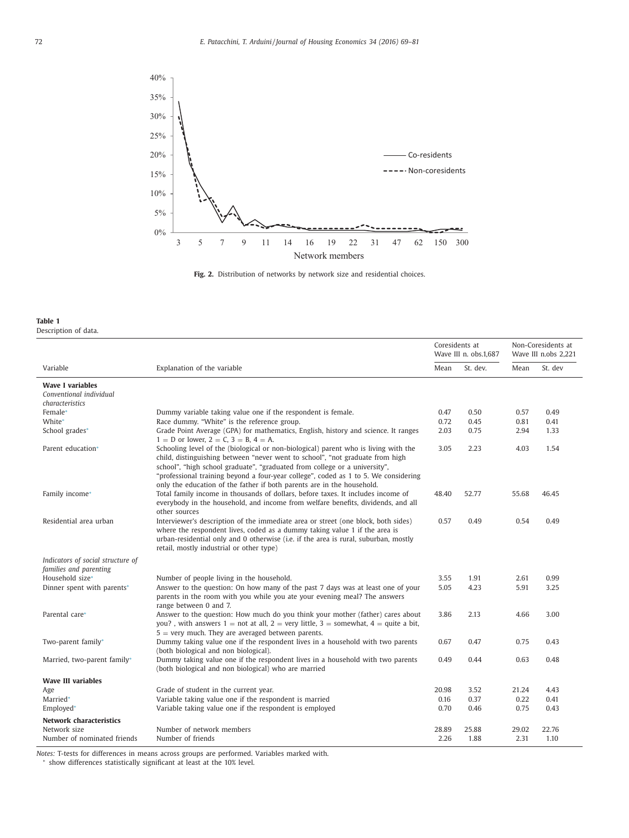<span id="page-3-0"></span>



### **Table 1**

Description of data.

|                                                                       |                                                                                                                                                                                                                                                                                                                                                                                                                     | Coresidents at<br>Wave III n. obs.1.687 |          | Non-Coresidents at<br>Wave III n.obs 2.221 |         |
|-----------------------------------------------------------------------|---------------------------------------------------------------------------------------------------------------------------------------------------------------------------------------------------------------------------------------------------------------------------------------------------------------------------------------------------------------------------------------------------------------------|-----------------------------------------|----------|--------------------------------------------|---------|
| Variable                                                              | Explanation of the variable                                                                                                                                                                                                                                                                                                                                                                                         | Mean                                    | St. dev. | Mean                                       | St. dev |
| <b>Wave I variables</b><br>Conventional individual<br>characteristics |                                                                                                                                                                                                                                                                                                                                                                                                                     |                                         |          |                                            |         |
| Female*                                                               | Dummy variable taking value one if the respondent is female.                                                                                                                                                                                                                                                                                                                                                        | 0.47                                    | 0.50     | 0.57                                       | 0.49    |
| White*                                                                | Race dummy. "White" is the reference group.                                                                                                                                                                                                                                                                                                                                                                         | 0.72                                    | 0.45     | 0.81                                       | 0.41    |
| School grades*                                                        | Grade Point Average (GPA) for mathematics, English, history and science. It ranges<br>$1 = D$ or lower, $2 = C$ , $3 = B$ , $4 = A$ .                                                                                                                                                                                                                                                                               | 2.03                                    | 0.75     | 2.94                                       | 1.33    |
| Parent education*                                                     | Schooling level of the (biological or non-biological) parent who is living with the<br>child, distinguishing between "never went to school", "not graduate from high<br>school", "high school graduate", "graduated from college or a university",<br>"professional training beyond a four-year college", coded as 1 to 5. We considering<br>only the education of the father if both parents are in the household. | 3.05                                    | 2.23     | 4.03                                       | 1.54    |
| Family income*                                                        | Total family income in thousands of dollars, before taxes. It includes income of<br>everybody in the household, and income from welfare benefits, dividends, and all<br>other sources                                                                                                                                                                                                                               | 48.40                                   | 52.77    | 55.68                                      | 46.45   |
| Residential area urban                                                | Interviewer's description of the immediate area or street (one block, both sides)<br>where the respondent lives, coded as a dummy taking value 1 if the area is<br>urban-residential only and 0 otherwise (i.e. if the area is rural, suburban, mostly<br>retail, mostly industrial or other type)                                                                                                                  | 0.57                                    | 0.49     | 0.54                                       | 0.49    |
| Indicators of social structure of<br>families and parenting           |                                                                                                                                                                                                                                                                                                                                                                                                                     |                                         |          |                                            |         |
| Household size*                                                       | Number of people living in the household.                                                                                                                                                                                                                                                                                                                                                                           | 3.55                                    | 1.91     | 2.61                                       | 0.99    |
| Dinner spent with parents*                                            | Answer to the question: On how many of the past 7 days was at least one of your<br>parents in the room with you while you ate your evening meal? The answers<br>range between 0 and 7.                                                                                                                                                                                                                              | 5.05                                    | 4.23     | 5.91                                       | 3.25    |
| Parental care*                                                        | Answer to the question: How much do you think your mother (father) cares about<br>you?, with answers $1 =$ not at all, $2 =$ very little, $3 =$ somewhat, $4 =$ quite a bit,<br>$5 =$ very much. They are averaged between parents.                                                                                                                                                                                 | 3.86                                    | 2.13     | 4.66                                       | 3.00    |
| Two-parent family*                                                    | Dummy taking value one if the respondent lives in a household with two parents<br>(both biological and non biological).                                                                                                                                                                                                                                                                                             | 0.67                                    | 0.47     | 0.75                                       | 0.43    |
| Married, two-parent family*                                           | Dummy taking value one if the respondent lives in a household with two parents<br>(both biological and non biological) who are married                                                                                                                                                                                                                                                                              | 0.49                                    | 0.44     | 0.63                                       | 0.48    |
| <b>Wave III variables</b>                                             |                                                                                                                                                                                                                                                                                                                                                                                                                     |                                         |          |                                            |         |
| Age                                                                   | Grade of student in the current year.                                                                                                                                                                                                                                                                                                                                                                               | 20.98                                   | 3.52     | 21.24                                      | 4.43    |
| Married*                                                              | Variable taking value one if the respondent is married                                                                                                                                                                                                                                                                                                                                                              | 0.16                                    | 0.37     | 0.22                                       | 0.41    |
| Employed*                                                             | Variable taking value one if the respondent is employed                                                                                                                                                                                                                                                                                                                                                             | 0.70                                    | 0.46     | 0.75                                       | 0.43    |
| <b>Network characteristics</b>                                        |                                                                                                                                                                                                                                                                                                                                                                                                                     |                                         |          |                                            |         |
| Network size                                                          | Number of network members                                                                                                                                                                                                                                                                                                                                                                                           | 28.89                                   | 25.88    | 29.02                                      | 22.76   |
| Number of nominated friends                                           | Number of friends                                                                                                                                                                                                                                                                                                                                                                                                   | 2.26                                    | 1.88     | 2.31                                       | 1.10    |

*Notes:* T-tests for differences in means across groups are performed. Variables marked with.

<sup>∗</sup> show differences statistically significant at least at the 10% level.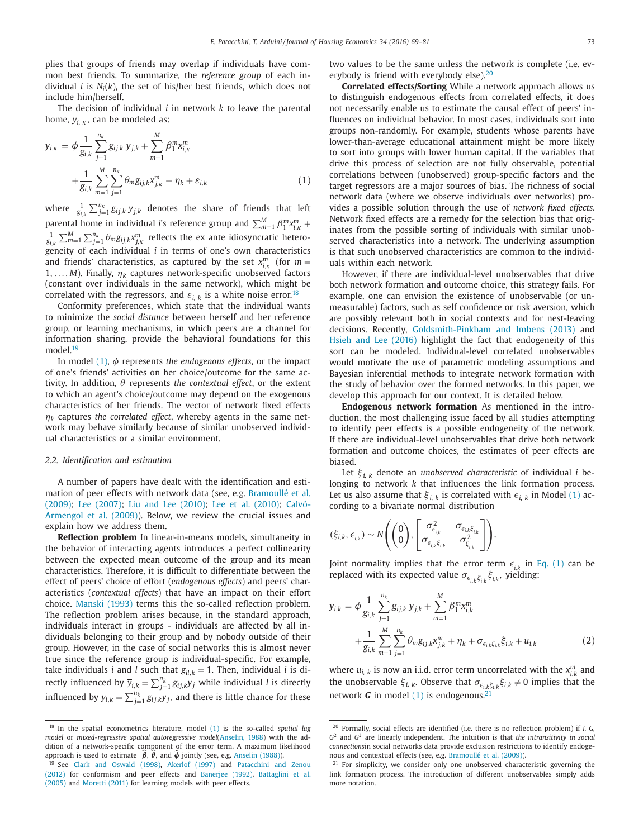<span id="page-4-0"></span>plies that groups of friends may overlap if individuals have common best friends. To summarize, the *reference group* of each individual *i* is *Ni*(*k*), the set of his/her best friends, which does not include him/herself.

The decision of individual *i* in network *k* to leave the parental home,  $y_{i,k}$ , can be modeled as:

$$
y_{i,\kappa} = \phi \frac{1}{g_{i,k}} \sum_{j=1}^{n_{\kappa}} g_{ij,k} y_{j,k} + \sum_{m=1}^{M} \beta_1^m x_{i,\kappa}^m + \frac{1}{g_{i,k}} \sum_{m=1}^{M} \sum_{j=1}^{n_{\kappa}} \theta_m g_{ij,k} x_{j,\kappa}^m + \eta_k + \varepsilon_{i,k}
$$
(1)

where  $\frac{1}{g_{i,k}}\sum_{j=1}^{n_K}g_{ij,k}y_{j,k}$  denotes the share of friends that left parental home in individual *i*'s reference group and  $\sum_{m=1}^{M} \beta_{1}^{m} x_{i,\kappa}^{m}$  +  $\frac{1}{\mathcal{S}_{i,k}}\sum_{m=1}^M\sum_{j=1}^{n_K}\theta_m\mathcal{S}_{ij,k}x^m_{j,\kappa}$  reflects the ex ante idiosyncratic heterogeneity of each individual *i* in terms of one's own characteristics and friends' characteristics, as captured by the set  $x_{i,k}^m$  (for  $m =$ 1, ..., *M*). Finally,  $\eta_k$  captures network-specific unobserved factors (constant over individuals in the same network), which might be correlated with the regressors, and  $\varepsilon_{i,k}$  is a white noise error.<sup>18</sup>

Conformity preferences, which state that the individual wants to minimize the *social distance* between herself and her reference group, or learning mechanisms, in which peers are a channel for information sharing, provide the behavioral foundations for this model.<sup>19</sup>

In model (1), φ represents *the endogenous effects*, or the impact of one's friends' activities on her choice/outcome for the same activity. In addition, θ represents *the contextual effect*, or the extent to which an agent's choice/outcome may depend on the exogenous characteristics of her friends. The vector of network fixed effects  $\eta_k$  captures *the correlated effect*, whereby agents in the same network may behave similarly because of similar unobserved individual characteristics or a similar environment.

#### *2.2. Identification and estimation*

A number of papers have dealt with the identification and estimation of peer effects with network data (see, e.g. [Bramoullé et](#page-11-0) al. (2009); Lee [\(2007\);](#page-11-0) Liu and Lee [\(2010\);](#page-11-0) Lee et al. [\(2010\);](#page-11-0) Calvó-[Armengol](#page-11-0) et al. (2009)). Below, we review the crucial issues and explain how we address them.

**Reflection problem** In linear-in-means models, simultaneity in the behavior of interacting agents introduces a perfect collinearity between the expected mean outcome of the group and its mean characteristics. Therefore, it is difficult to differentiate between the effect of peers' choice of effort (*endogenous effects*) and peers' characteristics (*contextual effects*) that have an impact on their effort choice. [Manski](#page-11-0) (1993) terms this the so-called reflection problem. The reflection problem arises because, in the standard approach, individuals interact in groups - individuals are affected by all individuals belonging to their group and by nobody outside of their group. However, in the case of social networks this is almost never true since the reference group is individual-specific. For example, take individuals *i* and *l* such that  $g_{il,k} = 1$ . Then, individual *i* is directly influenced by  $\bar{y}_{i,k} = \sum_{j=1}^{n_k} g_{ij,k} y_j$  while individual *l* is directly influenced by  $\bar{y}_{l,k} = \sum_{j=1}^{n_k} g_{l j,k} y_j$ , and there is little chance for these two values to be the same unless the network is complete (i.e. everybody is friend with everybody else). $20$ 

**Correlated effects/Sorting** While a network approach allows us to distinguish endogenous effects from correlated effects, it does not necessarily enable us to estimate the causal effect of peers' influences on individual behavior. In most cases, individuals sort into groups non-randomly. For example, students whose parents have lower-than-average educational attainment might be more likely to sort into groups with lower human capital. If the variables that drive this process of selection are not fully observable, potential correlations between (unobserved) group-specific factors and the target regressors are a major sources of bias. The richness of social network data (where we observe individuals over networks) provides a possible solution through the use of *network fixed effects*. Network fixed effects are a remedy for the selection bias that originates from the possible sorting of individuals with similar unobserved characteristics into a network. The underlying assumption is that such unobserved characteristics are common to the individuals within each network.

However, if there are individual-level unobservables that drive both network formation and outcome choice, this strategy fails. For example, one can envision the existence of unobservable (or unmeasurable) factors, such as self confidence or risk aversion, which are possibly relevant both in social contexts and for nest-leaving decisions. Recently, [Goldsmith-Pinkham](#page-11-0) and Imbens (2013) and Hsieh and Lee [\(2016\)](#page-11-0) highlight the fact that endogeneity of this sort can be modeled. Individual-level correlated unobservables would motivate the use of parametric modeling assumptions and Bayesian inferential methods to integrate network formation with the study of behavior over the formed networks. In this paper, we develop this approach for our context. It is detailed below.

**Endogenous network formation** As mentioned in the introduction, the most challenging issue faced by all studies attempting to identify peer effects is a possible endogeneity of the network. If there are individual-level unobservables that drive both network formation and outcome choices, the estimates of peer effects are biased.

Let  $\xi_{i,k}$  denote an *unobserved characteristic* of individual *i* belonging to network *k* that influences the link formation process. Let us also assume that  $\xi_{i,k}$  is correlated with  $\epsilon_{i,k}$  in Model (1) according to a bivariate normal distribution

$$
(\xi_{i,k},\epsilon_{i,k}) \sim N\left(\begin{pmatrix}0\\0\end{pmatrix},\begin{bmatrix}\sigma_{\epsilon_{i,k}}^2&\sigma_{\epsilon_{i,k}\xi_{i,k}}\\ \sigma_{\epsilon_{i,k}\xi_{i,k}}&\sigma_{\xi_{i,k}}^2\end{bmatrix}\right)
$$

Joint normality implies that the error term  $\epsilon_{i,k}$  in Eq. (1) can be replaced with its expected value  $\sigma_{\epsilon_{i,k}}\xi_{i,k}$ , yielding:

.

$$
y_{i,k} = \phi \frac{1}{g_{i,k}} \sum_{j=1}^{n_k} g_{ij,k} y_{j,k} + \sum_{m=1}^{M} \beta_1^m x_{i,k}^m
$$
  
+ 
$$
\frac{1}{g_{i,k}} \sum_{m=1}^{M} \sum_{j=1}^{n_k} \theta_m g_{ij,k} x_{j,k}^m + \eta_k + \sigma_{\epsilon_{i,k} \xi_{i,k}} \xi_{i,k} + u_{i,k}
$$
(2)

where  $u_{i,k}$  is now an i.i.d. error term uncorrelated with the  $x_{i,k}^m$  and the unobservable  $\xi_{i,k}$ . Observe that  $\sigma_{\epsilon_{i,k}}\xi_{i,k} \neq 0$  implies that the network **G** in model  $(1)$  is endogenous.<sup>21</sup>

<sup>18</sup> In the spatial econometrics literature, model (1) is the so-called *spatial lag model* or *mixed-regressive spatial autoregressive model*[\(Anselin,](#page-11-0) 1988) with the addition of a network-specific component of the error term. A maximum likelihood approach is used to estimate *β*, *θ*, and *φ* jointly (see, e.g. [Anselin](#page-11-0) (1988)).

See Clark and [Oswald](#page-11-0) (1998), [Akerlof](#page-11-0) (1997) and Patacchini and Zenou (2012) for [conformism](#page-12-0) and peer effects and [Banerjee](#page-11-0) (1992), Battaglini et al. (2005) and [Moretti](#page-12-0) (2011) for learning models with peer effects.

<sup>20</sup> Formally, social effects are identified (i.e. there is no reflection problem) if *I, G, G*<sup>2</sup> and *G*<sup>3</sup> are linearly independent. The intuition is that *the intransitivity in social connections*in social networks data provide exclusion restrictions to identify endogenous and contextual effects (see, e.g. [Bramoullé et](#page-11-0) al. (2009)).

 $21$  For simplicity, we consider only one unobserved characteristic governing the link formation process. The introduction of different unobservables simply adds more notation.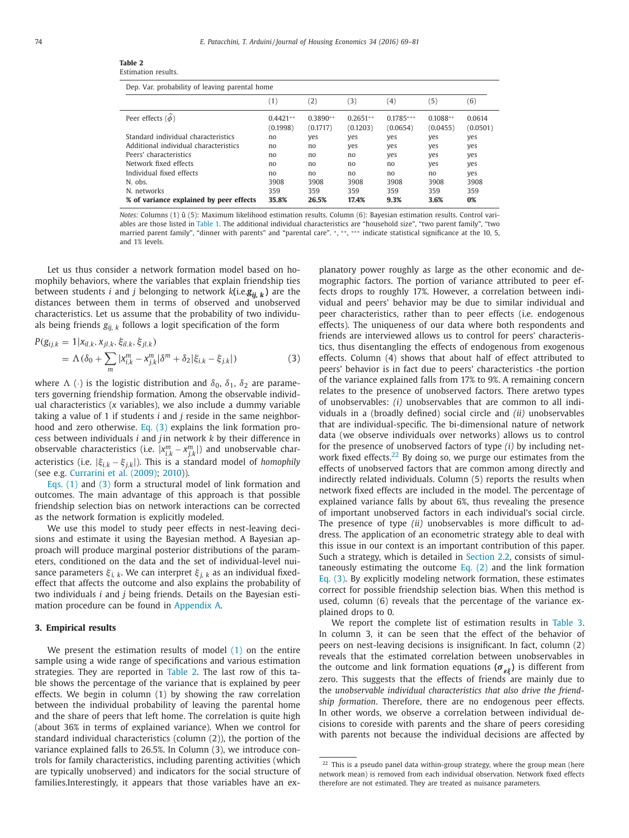| Dep. Var. probability of leaving parental home |                        |                        |                        |                         |                        |                    |
|------------------------------------------------|------------------------|------------------------|------------------------|-------------------------|------------------------|--------------------|
|                                                | $\left(1\right)$       | (2)                    | (3)                    | (4)                     | (5)                    | (6)                |
| Peer effects $(\phi)$                          | $0.4421**$<br>(0.1998) | $0.3890**$<br>(0.1717) | $0.2651**$<br>(0.1203) | $0.1785***$<br>(0.0654) | $0.1088**$<br>(0.0455) | 0.0614<br>(0.0501) |
| Standard individual characteristics            | no                     | yes                    | yes                    | yes                     | yes                    | yes                |
| Additional individual characteristics          | n <sub>0</sub>         | no                     | yes                    | yes                     | yes                    | yes                |
| Peers' characteristics                         | n <sub>0</sub>         | n <sub>0</sub>         | no                     | yes                     | yes                    | yes                |
| Network fixed effects                          | n <sub>0</sub>         | n <sub>0</sub>         | no                     | n <sub>0</sub>          | yes                    | yes                |
| Individual fixed effects                       | n <sub>0</sub>         | n <sub>0</sub>         | no                     | n <sub>0</sub>          | no                     | yes                |
| N. obs.                                        | 3908                   | 3908                   | 3908                   | 3908                    | 3908                   | 3908               |
| N. networks                                    | 359                    | 359                    | 359                    | 359                     | 359                    | 359                |
| % of variance explained by peer effects        | 35.8%                  | 26.5%                  | 17.4%                  | 9.3%                    | 3.6%                   | 0%                 |

<span id="page-5-0"></span>**Table 2** Estimation results.

*Notes:* Columns (1) û (5): Maximum likelihood estimation results. Column (6): Bayesian estimation results. Control variables are those listed in [Table](#page-3-0) 1. The additional individual characteristics are "household size", "two parent family", "two married parent family", "dinner with parents" and "parental care". \*, \*\*\* \*\*\* indicate statistical significance at the 10, 5, and 1% levels.

Let us thus consider a network formation model based on homophily behaviors, where the variables that explain friendship ties between students *i* and *j* belonging to network  $k(i.e.g., k)$  are the distances between them in terms of observed and unobserved characteristics. Let us assume that the probability of two individuals being friends  $g_{ij,k}$  follows a logit specification of the form

$$
P(g_{ij,k} = 1 | x_{il,k}, x_{jl,k}, \xi_{il,k}, \xi_{jl,k})
$$
  
=  $\Lambda(\delta_0 + \sum_m |x_{i,k}^m - x_{j,k}^m| \delta^m + \delta_2 |\xi_{i,k} - \xi_{j,k}|)$  (3)

where  $\Lambda$  (·) is the logistic distribution and  $\delta_0$ ,  $\delta_1$ ,  $\delta_2$  are parameters governing friendship formation. Among the observable individual characteristics (*x* variables), we also include a dummy variable taking a value of 1 if students *i* and *j* reside in the same neighborhood and zero otherwise. Eq. (3) explains the link formation process between individuals *i* and *j* in network *k* by their difference in observable characteristics (i.e.  $|x_{i,k}^m - x_{j,k}^m|$ ) and unobservable characteristics (i.e. |ξ*<sup>i</sup>*,*<sup>k</sup>* − ξ*<sup>j</sup>*,*<sup>k</sup>*|). This is a standard model of *homophily* (see e.g. [Currarini](#page-11-0) et al. (2009); [2010\)](#page-11-0)).

[Eqs.](#page-4-0) (1) and (3) form a structural model of link formation and outcomes. The main advantage of this approach is that possible friendship selection bias on network interactions can be corrected as the network formation is explicitly modeled.

We use this model to study peer effects in nest-leaving decisions and estimate it using the Bayesian method. A Bayesian approach will produce marginal posterior distributions of the parameters, conditioned on the data and the set of individual-level nuisance parameters  $\xi_{i,k}$ . We can interpret  $\xi_{i,k}$  as an individual fixedeffect that affects the outcome and also explains the probability of two individuals *i* and *j* being friends. Details on the Bayesian estimation procedure can be found in [Appendix](#page-10-0) A.

#### **3. Empirical results**

We present the estimation results of model [\(1\)](#page-4-0) on the entire sample using a wide range of specifications and various estimation strategies. They are reported in Table 2. The last row of this table shows the percentage of the variance that is explained by peer effects. We begin in column (1) by showing the raw correlation between the individual probability of leaving the parental home and the share of peers that left home. The correlation is quite high (about 36% in terms of explained variance). When we control for standard individual characteristics (column (2)), the portion of the variance explained falls to 26.5%. In Column (3), we introduce controls for family characteristics, including parenting activities (which are typically unobserved) and indicators for the social structure of families.Interestingly, it appears that those variables have an explanatory power roughly as large as the other economic and demographic factors. The portion of variance attributed to peer effects drops to roughly 17%. However, a correlation between individual and peers' behavior may be due to similar individual and peer characteristics, rather than to peer effects (i.e. endogenous effects). The uniqueness of our data where both respondents and friends are interviewed allows us to control for peers' characteristics, thus disentangling the effects of endogenous from exogenous effects. Column (4) shows that about half of effect attributed to peers' behavior is in fact due to peers' characteristics -the portion of the variance explained falls from 17% to 9%. A remaining concern relates to the presence of unobserved factors. There aretwo types of unobservables: *(i)* unobservables that are common to all individuals in a (broadly defined) social circle and *(ii)* unobservables that are individual-specific. The bi-dimensional nature of network data (we observe individuals over networks) allows us to control for the presence of unobserved factors of type *(i)* by including network fixed effects.<sup>22</sup> By doing so, we purge our estimates from the effects of unobserved factors that are common among directly and indirectly related individuals. Column (5) reports the results when network fixed effects are included in the model. The percentage of explained variance falls by about 6%, thus revealing the presence of important unobserved factors in each individual's social circle. The presence of type *(ii)* unobservables is more difficult to address. The application of an econometric strategy able to deal with this issue in our context is an important contribution of this paper. Such a strategy, which is detailed in [Section](#page-4-0) 2.2, consists of simultaneously estimating the outcome [Eq.](#page-4-0) (2) and the link formation Eq. (3). By explicitly modeling network formation, these estimates correct for possible friendship selection bias. When this method is used, column (6) reveals that the percentage of the variance explained drops to 0.

We report the complete list of estimation results in [Table](#page-6-0) 3. In column 3, it can be seen that the effect of the behavior of peers on nest-leaving decisions is insignificant. In fact, column (2) reveals that the estimated correlation between unobservables in the outcome and link formation equations  $(\sigma_{\varepsilon\xi})$  is different from zero. This suggests that the effects of friends are mainly due to the *unobservable individual characteristics that also drive the friendship formation*. Therefore, there are no endogenous peer effects. In other words, we observe a correlation between individual decisions to coreside with parents and the share of peers coresiding with parents not because the individual decisions are affected by

 $22$  This is a pseudo panel data within-group strategy, where the group mean (here network mean) is removed from each individual observation. Network fixed effects therefore are not estimated. They are treated as nuisance parameters.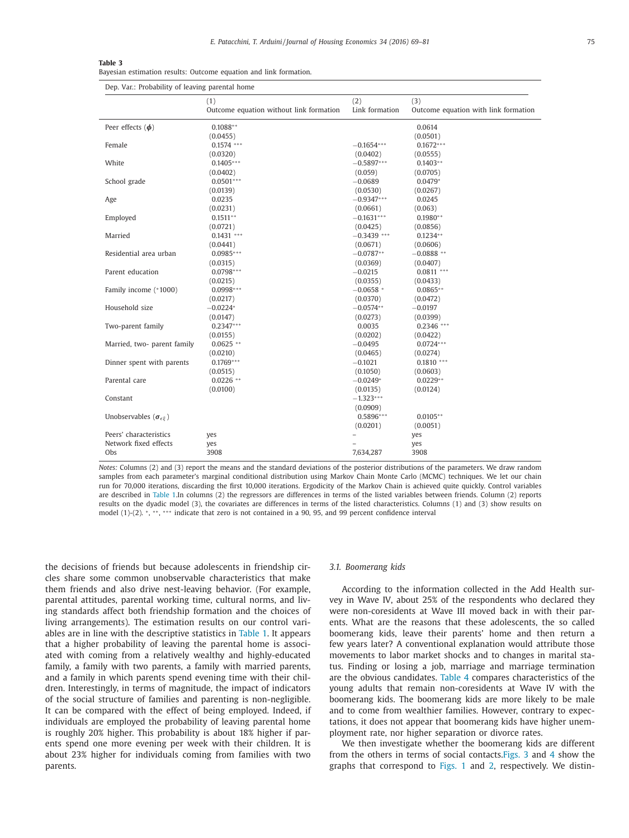<span id="page-6-0"></span>

| Table 3                                                           |  |  |  |
|-------------------------------------------------------------------|--|--|--|
| Bayesian estimation results: Outcome equation and link formation. |  |  |  |

|                                         | (1)                                     | (2)            | (3)                                  |
|-----------------------------------------|-----------------------------------------|----------------|--------------------------------------|
|                                         | Outcome equation without link formation | Link formation | Outcome equation with link formation |
| Peer effects $(\phi)$                   | $0.1088**$                              |                | 0.0614                               |
|                                         | (0.0455)                                |                | (0.0501)                             |
| Female                                  | $0.1574$ ***                            | $-0.1654***$   | $0.1672***$                          |
|                                         | (0.0320)                                | (0.0402)       | (0.0555)                             |
| White                                   | $0.1405***$                             | $-0.5897***$   | $0.1403**$                           |
|                                         | (0.0402)                                | (0.059)        | (0.0705)                             |
| School grade                            | $0.0501***$                             | $-0.0689$      | $0.0479*$                            |
|                                         | (0.0139)                                | (0.0530)       | (0.0267)                             |
| Age                                     | 0.0235                                  | $-0.9347***$   | 0.0245                               |
|                                         | (0.0231)                                | (0.0661)       | (0.063)                              |
| Employed                                | $0.1511**$                              | $-0.1631***$   | $0.1980**$                           |
|                                         | (0.0721)                                | (0.0425)       | (0.0856)                             |
| Married                                 | $0.1431$ ***                            | $-0.3439$ ***  | $0.1234**$                           |
|                                         | (0.0441)                                | (0.0671)       | (0.0606)                             |
| Residential area urban                  | $0.0985***$                             | $-0.0787**$    | $-0.0888$ **                         |
|                                         | (0.0315)                                | (0.0369)       | (0.0407)                             |
| Parent education                        | $0.0798***$                             | $-0.0215$      | $0.0811$ ***                         |
|                                         | (0.0215)                                | (0.0355)       | (0.0433)                             |
| Family income (*1000)                   | $0.0998***$                             | $-0.0658*$     | $0.0865**$                           |
|                                         | (0.0217)                                | (0.0370)       | (0.0472)                             |
| Household size                          | $-0.0224*$                              | $-0.0574**$    | $-0.0197$                            |
|                                         | (0.0147)                                | (0.0273)       | (0.0399)                             |
| Two-parent family                       | $0.2347***$                             | 0.0035         | $0.2346$ ***                         |
|                                         | (0.0155)                                | (0.0202)       | (0.0422)                             |
| Married, two- parent family             | $0.0625$ **                             | $-0.0495$      | $0.0724***$                          |
|                                         | (0.0210)                                | (0.0465)       | (0.0274)                             |
| Dinner spent with parents               | $0.1769***$                             | $-0.1021$      | $0.1810$ ***                         |
|                                         | (0.0515)                                | (0.1050)       | (0.0603)                             |
| Parental care                           | $0.0226$ **                             | $-0.0249*$     | $0.0229**$                           |
|                                         | (0.0100)                                | (0.0135)       | (0.0124)                             |
| Constant                                |                                         | $-1.323***$    |                                      |
|                                         |                                         | (0.0909)       |                                      |
| Unobservables ( $\sigma_{\epsilon k}$ ) |                                         | $0.5896***$    | $0.0105**$                           |
|                                         |                                         | (0.0201)       | (0.0051)                             |
| Peers' characteristics                  | yes                                     |                | yes                                  |
| Network fixed effects                   | yes                                     |                |                                      |
| Obs                                     | 3908                                    | 7,634,287      | yes<br>3908                          |
|                                         |                                         |                |                                      |

*Notes:* Columns (2) and (3) report the means and the standard deviations of the posterior distributions of the parameters. We draw random samples from each parameter's marginal conditional distribution using Markov Chain Monte Carlo (MCMC) techniques. We let our chain run for 70,000 iterations, discarding the first 10,000 iterations. Ergodicity of the Markov Chain is achieved quite quickly. Control variables are described in [Table](#page-3-0) 1.In columns (2) the regressors are differences in terms of the listed variables between friends. Column (2) reports results on the dyadic model (3), the covariates are differences in terms of the listed characteristics. Columns (1) and (3) show results on model (1)-(2). <sup>∗</sup>, ∗∗, ∗∗∗ indicate that zero is not contained in a 90, 95, and 99 percent confidence interval

the decisions of friends but because adolescents in friendship circles share some common unobservable characteristics that make them friends and also drive nest-leaving behavior. (For example, parental attitudes, parental working time, cultural norms, and living standards affect both friendship formation and the choices of living arrangements). The estimation results on our control variables are in line with the descriptive statistics in [Table](#page-3-0) 1. It appears that a higher probability of leaving the parental home is associated with coming from a relatively wealthy and highly-educated family, a family with two parents, a family with married parents, and a family in which parents spend evening time with their children. Interestingly, in terms of magnitude, the impact of indicators of the social structure of families and parenting is non-negligible. It can be compared with the effect of being employed. Indeed, if individuals are employed the probability of leaving parental home is roughly 20% higher. This probability is about 18% higher if parents spend one more evening per week with their children. It is about 23% higher for individuals coming from families with two parents.

#### *3.1. Boomerang kids*

According to the information collected in the Add Health survey in Wave IV, about 25% of the respondents who declared they were non-coresidents at Wave III moved back in with their parents. What are the reasons that these adolescents, the so called boomerang kids, leave their parents' home and then return a few years later? A conventional explanation would attribute those movements to labor market shocks and to changes in marital status. Finding or losing a job, marriage and marriage termination are the obvious candidates. [Table](#page-7-0) 4 compares characteristics of the young adults that remain non-coresidents at Wave IV with the boomerang kids. The boomerang kids are more likely to be male and to come from wealthier families. However, contrary to expectations, it does not appear that boomerang kids have higher unemployment rate, nor higher separation or divorce rates.

We then investigate whether the boomerang kids are different from the others in terms of social contacts[.Figs.](#page-7-0) 3 and [4](#page-7-0) show the graphs that correspond to [Figs.](#page-2-0) 1 and [2,](#page-3-0) respectively. We distin-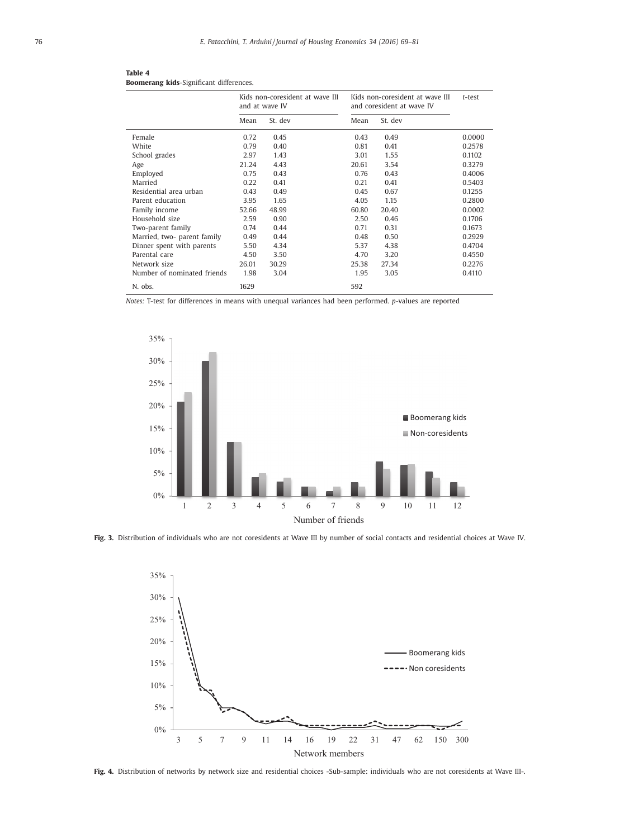|                             | Kids non-coresident at wave III<br>and at wave IV |         |       | Kids non-coresident at wave III<br>and coresident at wave IV |        |  |
|-----------------------------|---------------------------------------------------|---------|-------|--------------------------------------------------------------|--------|--|
|                             | Mean                                              | St. dev | Mean  | St. dev                                                      |        |  |
| Female                      | 0.72                                              | 0.45    | 0.43  | 0.49                                                         | 0.0000 |  |
| White                       | 0.79                                              | 0.40    | 0.81  | 0.41                                                         | 0.2578 |  |
| School grades               | 2.97                                              | 1.43    | 3.01  | 1.55                                                         | 0.1102 |  |
| Age                         | 21.24                                             | 4.43    | 20.61 | 3.54                                                         | 0.3279 |  |
| Employed                    | 0.75                                              | 0.43    | 0.76  | 0.43                                                         | 0.4006 |  |
| Married                     | 0.22                                              | 0.41    | 0.21  | 0.41                                                         | 0.5403 |  |
| Residential area urban      | 0.43                                              | 0.49    | 0.45  | 0.67                                                         | 0.1255 |  |
| Parent education            | 3.95                                              | 1.65    | 4.05  | 1.15                                                         | 0.2800 |  |
| Family income               | 52.66                                             | 48.99   | 60.80 | 20.40                                                        | 0.0002 |  |
| Household size              | 2.59                                              | 0.90    | 2.50  | 0.46                                                         | 0.1706 |  |
| Two-parent family           | 0.74                                              | 0.44    | 0.71  | 0.31                                                         | 0.1673 |  |
| Married, two- parent family | 0.49                                              | 0.44    | 0.48  | 0.50                                                         | 0.2929 |  |
| Dinner spent with parents   | 5.50                                              | 4.34    | 5.37  | 4.38                                                         | 0.4704 |  |
| Parental care               | 4.50                                              | 3.50    | 4.70  | 3.20                                                         | 0.4550 |  |
| Network size                | 26.01                                             | 30.29   | 25.38 | 27.34                                                        | 0.2276 |  |
| Number of nominated friends | 1.98                                              | 3.04    | 1.95  | 3.05                                                         | 0.4110 |  |
| N. obs.                     | 1629                                              |         | 592   |                                                              |        |  |

<span id="page-7-0"></span>

| Table 4 |                                                |  |
|---------|------------------------------------------------|--|
|         | <b>Boomerang kids-Significant differences.</b> |  |

*Notes:* T-test for differences in means with unequal variances had been performed. *p*-values are reported



**Fig. 3.** Distribution of individuals who are not coresidents at Wave III by number of social contacts and residential choices at Wave IV.



**Fig. 4.** Distribution of networks by network size and residential choices -Sub-sample: individuals who are not coresidents at Wave III-.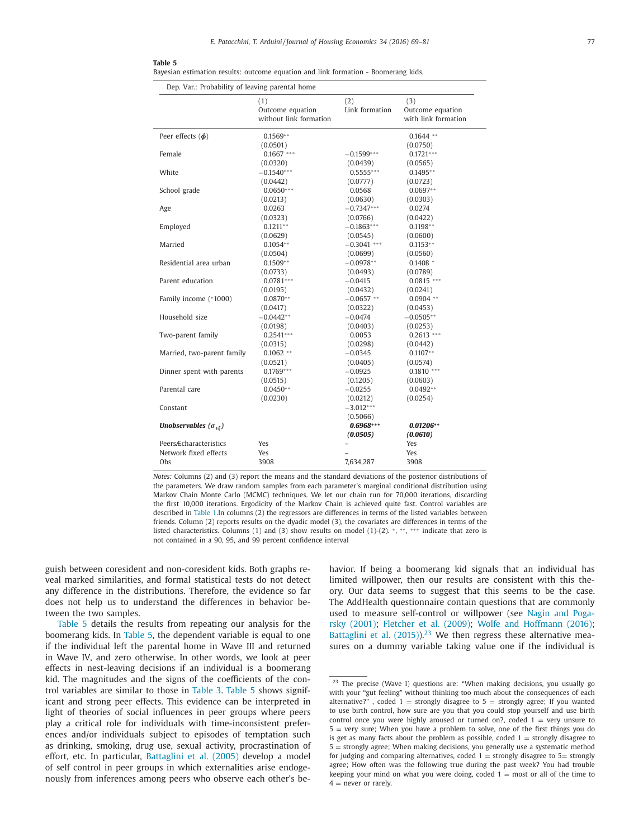<span id="page-8-0"></span>

| Table 5 |  |  |  |
|---------|--|--|--|
|         |  |  |  |

Bayesian estimation results: outcome equation and link formation - Boomerang kids.

Dep. Var.: Probability of leaving parental home

| Peer effects $(\phi)$<br>$0.1644$ **<br>$0.1569**$<br>(0.0501)<br>(0.0750)<br>Female<br>$0.1667$ ***<br>$-0.1599***$<br>$0.1721***$<br>(0.0320)<br>(0.0439)<br>(0.0565)<br>$0.5555***$<br>White<br>$-0.1540***$<br>$0.1495**$<br>(0.0777)<br>(0.0442)<br>(0.0723)<br>$0.0650***$<br>0.0568<br>$0.0697**$<br>School grade<br>(0.0630)<br>(0.0213)<br>(0.0303)<br>$-0.7347***$<br>0.0274<br>0.0263<br>Age<br>(0.0323)<br>(0.0766)<br>(0.0422)<br>Employed<br>$0.1211**$<br>$-0.1863***$<br>$0.1198**$<br>(0.0545)<br>(0.0629)<br>(0.0600)<br>Married<br>$0.1054**$<br>$-0.3041$ ***<br>$0.1153**$<br>(0.0504)<br>(0.0699)<br>(0.0560)<br>Residential area urban<br>$0.1509**$<br>$-0.0978**$<br>$0.1408*$<br>(0.0733)<br>(0.0493)<br>(0.0789)<br>Parent education<br>$0.0781***$<br>$-0.0415$<br>$0.0815$ ***<br>(0.0432)<br>(0.0241)<br>(0.0195)<br>Family income (*1000)<br>$0.0870**$<br>$-0.0657$ **<br>$0.0904$ **<br>(0.0417)<br>(0.0322)<br>(0.0453)<br>Household size<br>$-0.0442**$<br>$-0.0474$<br>$-0.0505**$<br>(0.0198)<br>(0.0403)<br>(0.0253)<br>Two-parent family<br>$0.2541***$<br>0.0053<br>$0.2613$ ***<br>(0.0315)<br>(0.0298)<br>(0.0442)<br>$0.1062$ **<br>Married, two-parent family<br>$-0.0345$<br>$0.1107**$<br>(0.0405)<br>(0.0574)<br>(0.0521)<br>Dinner spent with parents<br>$0.1769***$<br>$-0.0925$<br>$0.1810$ ***<br>(0.1205)<br>(0.0515)<br>(0.0603)<br>Parental care<br>$0.0450**$<br>$-0.0255$<br>$0.0492**$<br>(0.0230)<br>(0.0212)<br>(0.0254)<br>Constant<br>$-3.012***$<br>(0.5066)<br>$0.6968***$<br>$0.01206**$<br>Unobservables ( $\sigma_{\epsilon k}$ )<br>(0.0505)<br>(0.0610)<br><b>Peers</b> Æcharacteristics<br>Yes<br>Yes<br>Network fixed effects<br>Yes<br>Yes<br>Obs<br>3908<br>3908<br>7,634,287 | (1)<br>Outcome equation<br>without link formation | (2)<br>Link formation | (3)<br>Outcome equation<br>with link formation |
|-------------------------------------------------------------------------------------------------------------------------------------------------------------------------------------------------------------------------------------------------------------------------------------------------------------------------------------------------------------------------------------------------------------------------------------------------------------------------------------------------------------------------------------------------------------------------------------------------------------------------------------------------------------------------------------------------------------------------------------------------------------------------------------------------------------------------------------------------------------------------------------------------------------------------------------------------------------------------------------------------------------------------------------------------------------------------------------------------------------------------------------------------------------------------------------------------------------------------------------------------------------------------------------------------------------------------------------------------------------------------------------------------------------------------------------------------------------------------------------------------------------------------------------------------------------------------------------------------------------------------------------------------------------------------------------------------------------------------------------------------------|---------------------------------------------------|-----------------------|------------------------------------------------|
|                                                                                                                                                                                                                                                                                                                                                                                                                                                                                                                                                                                                                                                                                                                                                                                                                                                                                                                                                                                                                                                                                                                                                                                                                                                                                                                                                                                                                                                                                                                                                                                                                                                                                                                                                       |                                                   |                       |                                                |
|                                                                                                                                                                                                                                                                                                                                                                                                                                                                                                                                                                                                                                                                                                                                                                                                                                                                                                                                                                                                                                                                                                                                                                                                                                                                                                                                                                                                                                                                                                                                                                                                                                                                                                                                                       |                                                   |                       |                                                |
|                                                                                                                                                                                                                                                                                                                                                                                                                                                                                                                                                                                                                                                                                                                                                                                                                                                                                                                                                                                                                                                                                                                                                                                                                                                                                                                                                                                                                                                                                                                                                                                                                                                                                                                                                       |                                                   |                       |                                                |
|                                                                                                                                                                                                                                                                                                                                                                                                                                                                                                                                                                                                                                                                                                                                                                                                                                                                                                                                                                                                                                                                                                                                                                                                                                                                                                                                                                                                                                                                                                                                                                                                                                                                                                                                                       |                                                   |                       |                                                |
|                                                                                                                                                                                                                                                                                                                                                                                                                                                                                                                                                                                                                                                                                                                                                                                                                                                                                                                                                                                                                                                                                                                                                                                                                                                                                                                                                                                                                                                                                                                                                                                                                                                                                                                                                       |                                                   |                       |                                                |
|                                                                                                                                                                                                                                                                                                                                                                                                                                                                                                                                                                                                                                                                                                                                                                                                                                                                                                                                                                                                                                                                                                                                                                                                                                                                                                                                                                                                                                                                                                                                                                                                                                                                                                                                                       |                                                   |                       |                                                |
|                                                                                                                                                                                                                                                                                                                                                                                                                                                                                                                                                                                                                                                                                                                                                                                                                                                                                                                                                                                                                                                                                                                                                                                                                                                                                                                                                                                                                                                                                                                                                                                                                                                                                                                                                       |                                                   |                       |                                                |
|                                                                                                                                                                                                                                                                                                                                                                                                                                                                                                                                                                                                                                                                                                                                                                                                                                                                                                                                                                                                                                                                                                                                                                                                                                                                                                                                                                                                                                                                                                                                                                                                                                                                                                                                                       |                                                   |                       |                                                |
|                                                                                                                                                                                                                                                                                                                                                                                                                                                                                                                                                                                                                                                                                                                                                                                                                                                                                                                                                                                                                                                                                                                                                                                                                                                                                                                                                                                                                                                                                                                                                                                                                                                                                                                                                       |                                                   |                       |                                                |
|                                                                                                                                                                                                                                                                                                                                                                                                                                                                                                                                                                                                                                                                                                                                                                                                                                                                                                                                                                                                                                                                                                                                                                                                                                                                                                                                                                                                                                                                                                                                                                                                                                                                                                                                                       |                                                   |                       |                                                |
|                                                                                                                                                                                                                                                                                                                                                                                                                                                                                                                                                                                                                                                                                                                                                                                                                                                                                                                                                                                                                                                                                                                                                                                                                                                                                                                                                                                                                                                                                                                                                                                                                                                                                                                                                       |                                                   |                       |                                                |
|                                                                                                                                                                                                                                                                                                                                                                                                                                                                                                                                                                                                                                                                                                                                                                                                                                                                                                                                                                                                                                                                                                                                                                                                                                                                                                                                                                                                                                                                                                                                                                                                                                                                                                                                                       |                                                   |                       |                                                |
|                                                                                                                                                                                                                                                                                                                                                                                                                                                                                                                                                                                                                                                                                                                                                                                                                                                                                                                                                                                                                                                                                                                                                                                                                                                                                                                                                                                                                                                                                                                                                                                                                                                                                                                                                       |                                                   |                       |                                                |
|                                                                                                                                                                                                                                                                                                                                                                                                                                                                                                                                                                                                                                                                                                                                                                                                                                                                                                                                                                                                                                                                                                                                                                                                                                                                                                                                                                                                                                                                                                                                                                                                                                                                                                                                                       |                                                   |                       |                                                |
|                                                                                                                                                                                                                                                                                                                                                                                                                                                                                                                                                                                                                                                                                                                                                                                                                                                                                                                                                                                                                                                                                                                                                                                                                                                                                                                                                                                                                                                                                                                                                                                                                                                                                                                                                       |                                                   |                       |                                                |
|                                                                                                                                                                                                                                                                                                                                                                                                                                                                                                                                                                                                                                                                                                                                                                                                                                                                                                                                                                                                                                                                                                                                                                                                                                                                                                                                                                                                                                                                                                                                                                                                                                                                                                                                                       |                                                   |                       |                                                |
|                                                                                                                                                                                                                                                                                                                                                                                                                                                                                                                                                                                                                                                                                                                                                                                                                                                                                                                                                                                                                                                                                                                                                                                                                                                                                                                                                                                                                                                                                                                                                                                                                                                                                                                                                       |                                                   |                       |                                                |
|                                                                                                                                                                                                                                                                                                                                                                                                                                                                                                                                                                                                                                                                                                                                                                                                                                                                                                                                                                                                                                                                                                                                                                                                                                                                                                                                                                                                                                                                                                                                                                                                                                                                                                                                                       |                                                   |                       |                                                |
|                                                                                                                                                                                                                                                                                                                                                                                                                                                                                                                                                                                                                                                                                                                                                                                                                                                                                                                                                                                                                                                                                                                                                                                                                                                                                                                                                                                                                                                                                                                                                                                                                                                                                                                                                       |                                                   |                       |                                                |
|                                                                                                                                                                                                                                                                                                                                                                                                                                                                                                                                                                                                                                                                                                                                                                                                                                                                                                                                                                                                                                                                                                                                                                                                                                                                                                                                                                                                                                                                                                                                                                                                                                                                                                                                                       |                                                   |                       |                                                |
|                                                                                                                                                                                                                                                                                                                                                                                                                                                                                                                                                                                                                                                                                                                                                                                                                                                                                                                                                                                                                                                                                                                                                                                                                                                                                                                                                                                                                                                                                                                                                                                                                                                                                                                                                       |                                                   |                       |                                                |
|                                                                                                                                                                                                                                                                                                                                                                                                                                                                                                                                                                                                                                                                                                                                                                                                                                                                                                                                                                                                                                                                                                                                                                                                                                                                                                                                                                                                                                                                                                                                                                                                                                                                                                                                                       |                                                   |                       |                                                |
|                                                                                                                                                                                                                                                                                                                                                                                                                                                                                                                                                                                                                                                                                                                                                                                                                                                                                                                                                                                                                                                                                                                                                                                                                                                                                                                                                                                                                                                                                                                                                                                                                                                                                                                                                       |                                                   |                       |                                                |
|                                                                                                                                                                                                                                                                                                                                                                                                                                                                                                                                                                                                                                                                                                                                                                                                                                                                                                                                                                                                                                                                                                                                                                                                                                                                                                                                                                                                                                                                                                                                                                                                                                                                                                                                                       |                                                   |                       |                                                |
|                                                                                                                                                                                                                                                                                                                                                                                                                                                                                                                                                                                                                                                                                                                                                                                                                                                                                                                                                                                                                                                                                                                                                                                                                                                                                                                                                                                                                                                                                                                                                                                                                                                                                                                                                       |                                                   |                       |                                                |
|                                                                                                                                                                                                                                                                                                                                                                                                                                                                                                                                                                                                                                                                                                                                                                                                                                                                                                                                                                                                                                                                                                                                                                                                                                                                                                                                                                                                                                                                                                                                                                                                                                                                                                                                                       |                                                   |                       |                                                |
|                                                                                                                                                                                                                                                                                                                                                                                                                                                                                                                                                                                                                                                                                                                                                                                                                                                                                                                                                                                                                                                                                                                                                                                                                                                                                                                                                                                                                                                                                                                                                                                                                                                                                                                                                       |                                                   |                       |                                                |
|                                                                                                                                                                                                                                                                                                                                                                                                                                                                                                                                                                                                                                                                                                                                                                                                                                                                                                                                                                                                                                                                                                                                                                                                                                                                                                                                                                                                                                                                                                                                                                                                                                                                                                                                                       |                                                   |                       |                                                |
|                                                                                                                                                                                                                                                                                                                                                                                                                                                                                                                                                                                                                                                                                                                                                                                                                                                                                                                                                                                                                                                                                                                                                                                                                                                                                                                                                                                                                                                                                                                                                                                                                                                                                                                                                       |                                                   |                       |                                                |
|                                                                                                                                                                                                                                                                                                                                                                                                                                                                                                                                                                                                                                                                                                                                                                                                                                                                                                                                                                                                                                                                                                                                                                                                                                                                                                                                                                                                                                                                                                                                                                                                                                                                                                                                                       |                                                   |                       |                                                |
|                                                                                                                                                                                                                                                                                                                                                                                                                                                                                                                                                                                                                                                                                                                                                                                                                                                                                                                                                                                                                                                                                                                                                                                                                                                                                                                                                                                                                                                                                                                                                                                                                                                                                                                                                       |                                                   |                       |                                                |
|                                                                                                                                                                                                                                                                                                                                                                                                                                                                                                                                                                                                                                                                                                                                                                                                                                                                                                                                                                                                                                                                                                                                                                                                                                                                                                                                                                                                                                                                                                                                                                                                                                                                                                                                                       |                                                   |                       |                                                |
|                                                                                                                                                                                                                                                                                                                                                                                                                                                                                                                                                                                                                                                                                                                                                                                                                                                                                                                                                                                                                                                                                                                                                                                                                                                                                                                                                                                                                                                                                                                                                                                                                                                                                                                                                       |                                                   |                       |                                                |
|                                                                                                                                                                                                                                                                                                                                                                                                                                                                                                                                                                                                                                                                                                                                                                                                                                                                                                                                                                                                                                                                                                                                                                                                                                                                                                                                                                                                                                                                                                                                                                                                                                                                                                                                                       |                                                   |                       |                                                |
|                                                                                                                                                                                                                                                                                                                                                                                                                                                                                                                                                                                                                                                                                                                                                                                                                                                                                                                                                                                                                                                                                                                                                                                                                                                                                                                                                                                                                                                                                                                                                                                                                                                                                                                                                       |                                                   |                       |                                                |
|                                                                                                                                                                                                                                                                                                                                                                                                                                                                                                                                                                                                                                                                                                                                                                                                                                                                                                                                                                                                                                                                                                                                                                                                                                                                                                                                                                                                                                                                                                                                                                                                                                                                                                                                                       |                                                   |                       |                                                |
|                                                                                                                                                                                                                                                                                                                                                                                                                                                                                                                                                                                                                                                                                                                                                                                                                                                                                                                                                                                                                                                                                                                                                                                                                                                                                                                                                                                                                                                                                                                                                                                                                                                                                                                                                       |                                                   |                       |                                                |

*Notes:* Columns (2) and (3) report the means and the standard deviations of the posterior distributions of the parameters. We draw random samples from each parameter's marginal conditional distribution using Markov Chain Monte Carlo (MCMC) techniques. We let our chain run for 70,000 iterations, discarding the first 10,000 iterations. Ergodicity of the Markov Chain is achieved quite fast. Control variables are described in [Table](#page-3-0) 1.In columns (2) the regressors are differences in terms of the listed variables between friends. Column (2) reports results on the dyadic model (3), the covariates are differences in terms of the listed characteristics. Columns (1) and (3) show results on model (1)-(2). <sup>∗</sup>, ∗∗, ∗∗∗ indicate that zero is not contained in a 90, 95, and 99 percent confidence interval

guish between coresident and non-coresident kids. Both graphs reveal marked similarities, and formal statistical tests do not detect any difference in the distributions. Therefore, the evidence so far does not help us to understand the differences in behavior between the two samples.

Table 5 details the results from repeating our analysis for the boomerang kids. In Table 5, the dependent variable is equal to one if the individual left the parental home in Wave III and returned in Wave IV, and zero otherwise. In other words, we look at peer effects in nest-leaving decisions if an individual is a boomerang kid. The magnitudes and the signs of the coefficients of the control variables are similar to those in [Table](#page-6-0) 3. Table 5 shows significant and strong peer effects. This evidence can be interpreted in light of theories of social influences in peer groups where peers play a critical role for individuals with time-inconsistent preferences and/or individuals subject to episodes of temptation such as drinking, smoking, drug use, sexual activity, procrastination of effort, etc. In particular, [Battaglini](#page-11-0) et al. (2005) develop a model of self control in peer groups in which externalities arise endogenously from inferences among peers who observe each other's behavior. If being a boomerang kid signals that an individual has limited willpower, then our results are consistent with this theory. Our data seems to suggest that this seems to be the case. The AddHealth questionnaire contain questions that are commonly used to measure [self-control](#page-12-0) or willpower (see Nagin and Pogarsky (2001); [Fletcher](#page-11-0) et al. (2009); Wolfe and [Hoffmann](#page-12-0) (2016); [Battaglini](#page-11-0) et al.  $(2015)$ .<sup>23</sup> We then regress these alternative measures on a dummy variable taking value one if the individual is

<sup>&</sup>lt;sup>23</sup> The precise (Wave I) questions are: "When making decisions, you usually go with your "gut feeling" without thinking too much about the consequences of each alternative?", coded  $1 =$  strongly disagree to  $5 =$  strongly agree; If you wanted to use birth control, how sure are you that you could stop yourself and use birth control once you were highly aroused or turned on?, coded  $1 =$  very unsure to  $5 =$  very sure; When you have a problem to solve, one of the first things you do is get as many facts about the problem as possible, coded  $1 =$  strongly disagree to 5 = strongly agree; When making decisions, you generally use a systematic method for judging and comparing alternatives, coded  $1 =$  strongly disagree to  $5 =$  strongly agree; How often was the following true during the past week? You had trouble keeping your mind on what you were doing, coded  $1 =$  most or all of the time to  $4 =$  never or rarely.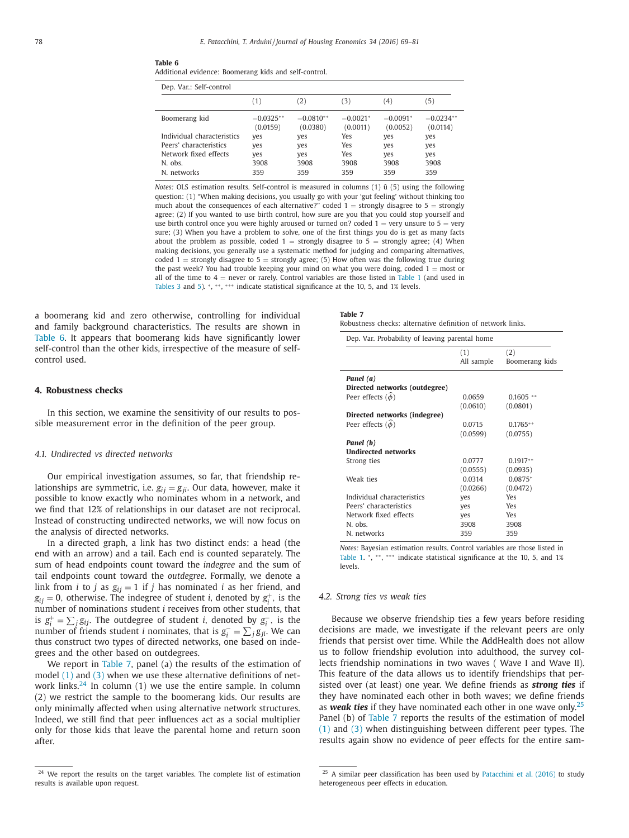<span id="page-9-0"></span>**Table 6** Additional evidence: Boomerang kids and self-control.

| Dep. Var.: Self-control    |                         |                         |                        |                        |                         |
|----------------------------|-------------------------|-------------------------|------------------------|------------------------|-------------------------|
|                            | (1)                     | $\left( 2\right)$       | (3)                    | $\left(4\right)$       | (5)                     |
| Boomerang kid              | $-0.0325**$<br>(0.0159) | $-0.0810**$<br>(0.0380) | $-0.0021*$<br>(0.0011) | $-0.0091*$<br>(0.0052) | $-0.0234**$<br>(0.0114) |
| Individual characteristics | yes                     | yes                     | Yes                    | yes                    | yes                     |
| Peers' characteristics     | yes                     | yes                     | Yes                    | yes                    | yes                     |
| Network fixed effects      | yes                     | yes                     | Yes                    | yes                    | yes                     |
| N. obs.                    | 3908                    | 3908                    | 3908                   | 3908                   | 3908                    |
| networks<br>N              | 359                     | 359                     | 359                    | 359                    | 359                     |

*Notes:* OLS estimation results. Self-control is measured in columns (1) û (5) using the following question: (1) "When making decisions, you usually go with your 'gut feeling' without thinking too much about the consequences of each alternative?" coded  $1 =$  strongly disagree to  $5 =$  strongly agree; (2) If you wanted to use birth control, how sure are you that you could stop yourself and use birth control once you were highly aroused or turned on? coded  $1 =$  very unsure to  $5 =$  very sure; (3) When you have a problem to solve, one of the first things you do is get as many facts about the problem as possible, coded  $1 =$  strongly disagree to  $5 =$  strongly agree; (4) When making decisions, you generally use a systematic method for judging and comparing alternatives, coded  $1 =$  strongly disagree to  $5 =$  strongly agree; (5) How often was the following true during the past week? You had trouble keeping your mind on what you were doing, coded  $1 =$  most or all of the time to  $4 =$  never or rarely. Control variables are those listed in [Table](#page-3-0) 1 (and used in [Tables](#page-6-0) 3 and [5\)](#page-8-0). \*, \*\*, \*\*\* indicate statistical significance at the 10, 5, and 1% levels.

a boomerang kid and zero otherwise, controlling for individual and family background characteristics. The results are shown in Table 6. It appears that boomerang kids have significantly lower self-control than the other kids, irrespective of the measure of selfcontrol used.

#### **4. Robustness checks**

In this section, we examine the sensitivity of our results to possible measurement error in the definition of the peer group.

#### *4.1. Undirected vs directed networks*

Our empirical investigation assumes, so far, that friendship relationships are symmetric, i.e.  $g_{ij} = g_{ji}$ . Our data, however, make it possible to know exactly who nominates whom in a network, and we find that 12% of relationships in our dataset are not reciprocal. Instead of constructing undirected networks, we will now focus on the analysis of directed networks.

In a directed graph, a link has two distinct ends: a head (the end with an arrow) and a tail. Each end is counted separately. The sum of head endpoints count toward the *indegree* and the sum of tail endpoints count toward the *outdegree*. Formally, we denote a link from *i* to *j* as  $g_{ij} = 1$  if *j* has nominated *i* as her friend, and  $g_{ij} = 0$ , otherwise. The indegree of student *i*, denoted by  $g_i^+$ , is the number of nominations student *i* receives from other students, that is  $g_i^+ = \sum_j g_{ij}$ . The outdegree of student *i*, denoted by  $g_i^-$ , is the number of friends student *i* nominates, that is  $g_i^- = \sum_j g_{ji}$ . We can thus construct two types of directed networks, one based on indegrees and the other based on outdegrees.

We report in Table 7, panel (a) the results of the estimation of model [\(1\)](#page-4-0) and [\(3\)](#page-5-0) when we use these alternative definitions of network links.<sup>24</sup> In column (1) we use the entire sample. In column (2) we restrict the sample to the boomerang kids. Our results are only minimally affected when using alternative network structures. Indeed, we still find that peer influences act as a social multiplier only for those kids that leave the parental home and return soon after.

#### **Table 7**

Robustness checks: alternative definition of network links.

|                               | Dep. Var. Probability of leaving parental home |                       |  |  |  |  |
|-------------------------------|------------------------------------------------|-----------------------|--|--|--|--|
|                               | (1)<br>All sample                              | (2)<br>Boomerang kids |  |  |  |  |
| Panel (a)                     |                                                |                       |  |  |  |  |
| Directed networks (outdegree) |                                                |                       |  |  |  |  |
| Peer effects $(\phi)$         | 0.0659                                         | $0.1605$ **           |  |  |  |  |
|                               | (0.0610)                                       | (0.0801)              |  |  |  |  |
| Directed networks (indegree)  |                                                |                       |  |  |  |  |
| Peer effects $(\phi)$         | 0.0715                                         | $0.1765**$            |  |  |  |  |
|                               | (0.0599)                                       | (0.0755)              |  |  |  |  |
| Panel (b)                     |                                                |                       |  |  |  |  |
| Undirected networks           |                                                |                       |  |  |  |  |
| Strong ties                   | 0.0777                                         | $0.1917**$            |  |  |  |  |
|                               | (0.0555)                                       | (0.0935)              |  |  |  |  |
| Weak ties                     | 0.0314                                         | $0.0875*$             |  |  |  |  |
|                               | (0.0266)                                       | (0.0472)              |  |  |  |  |
| Individual characteristics    | yes                                            | Yes                   |  |  |  |  |
| Peers' characteristics        | yes                                            | Yes                   |  |  |  |  |
| Network fixed effects         | yes                                            | Yes                   |  |  |  |  |
| N obs                         | 3908                                           | 3908                  |  |  |  |  |
| N networks                    | 359                                            | 359                   |  |  |  |  |

*Notes:* Bayesian estimation results. Control variables are those listed in [Table](#page-3-0) 1. <sup>\*</sup>, \*\*\*, \*\*\* indicate statistical significance at the 10, 5, and 1% levels.

#### *4.2. Strong ties vs weak ties*

Because we observe friendship ties a few years before residing decisions are made, we investigate if the relevant peers are only friends that persist over time. While the **A**ddHealth does not allow us to follow friendship evolution into adulthood, the survey collects friendship nominations in two waves ( Wave I and Wave II). This feature of the data allows us to identify friendships that persisted over (at least) one year. We define friends as *strong ties* if they have nominated each other in both waves; we define friends as *weak ties* if they have nominated each other in one wave only.<sup>25</sup> Panel (b) of Table 7 reports the results of the estimation of model [\(1\)](#page-4-0) and [\(3\)](#page-5-0) when distinguishing between different peer types. The results again show no evidence of peer effects for the entire sam-

<sup>&</sup>lt;sup>24</sup> We report the results on the target variables. The complete list of estimation results is available upon request.

 $25$  A similar peer classification has been used by [Patacchini](#page-12-0) et al. (2016) to study heterogeneous peer effects in education.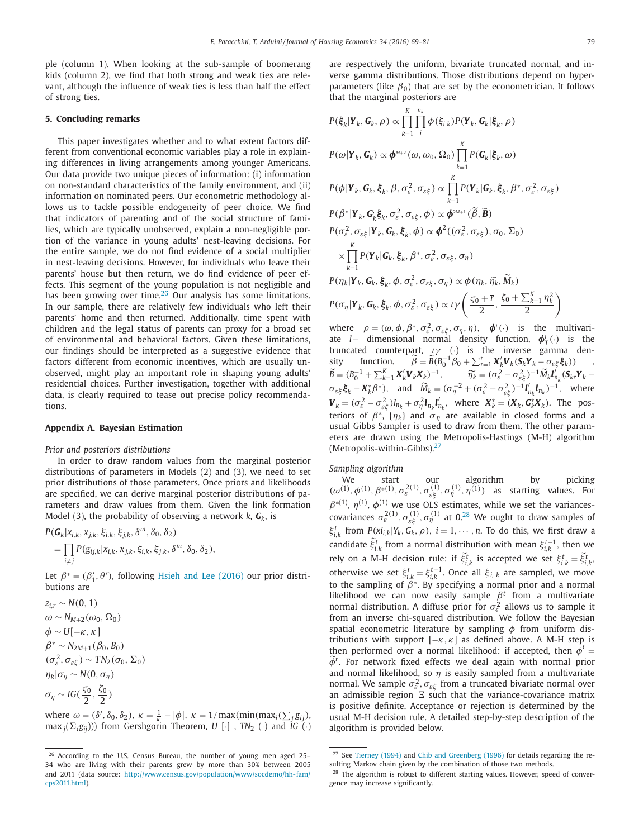<span id="page-10-0"></span>ple (column 1). When looking at the sub-sample of boomerang kids (column 2), we find that both strong and weak ties are relevant, although the influence of weak ties is less than half the effect of strong ties.

#### **5. Concluding remarks**

This paper investigates whether and to what extent factors different from conventional economic variables play a role in explaining differences in living arrangements among younger Americans. Our data provide two unique pieces of information: (i) information on non-standard characteristics of the family environment, and (ii) information on nominated peers. Our econometric methodology allows us to tackle possible endogeneity of peer choice. We find that indicators of parenting and of the social structure of families, which are typically unobserved, explain a non-negligible portion of the variance in young adults' nest-leaving decisions. For the entire sample, we do not find evidence of a social multiplier in nest-leaving decisions. However, for individuals who leave their parents' house but then return, we do find evidence of peer effects. This segment of the young population is not negligible and has been growing over time.<sup>26</sup> Our analysis has some limitations. In our sample, there are relatively few individuals who left their parents' home and then returned. Additionally, time spent with children and the legal status of parents can proxy for a broad set of environmental and behavioral factors. Given these limitations, our findings should be interpreted as a suggestive evidence that factors different from economic incentives, which are usually unobserved, might play an important role in shaping young adults' residential choices. Further investigation, together with additional data, is clearly required to tease out precise policy recommendations.

#### **Appendix A. Bayesian Estimation**

#### *Prior and posteriors distributions*

In order to draw random values from the marginal posterior distributions of parameters in Models (2) and (3), we need to set prior distributions of those parameters. Once priors and likelihoods are specified, we can derive marginal posterior distributions of parameters and draw values from them. Given the link formation Model (3), the probability of observing a network *k*, *Gk*, is

$$
P(\mathbf{G}_k|\mathbf{x}_{i,k},\mathbf{x}_{j,k},\xi_{i,k},\xi_{j,k},\delta^m,\delta_0,\delta_2) = \prod_{i\neq j} P(\mathbf{g}_{ij,k}|\mathbf{x}_{i,k},\mathbf{x}_{j,k},\xi_{i,k},\xi_{j,k},\delta^m,\delta_0,\delta_2),
$$

Let  $\beta^* = (\beta'_1, \theta')$ , following Hsieh and Lee [\(2016\)](#page-11-0) our prior distributions are

 $z_i$ <sup>*r*</sup> ∼ *N*(0, 1)  $\omega \sim N_{M+2}(\omega_0,\Omega_0)$  $\phi \sim U[-\kappa, \kappa]$  $\beta^* \sim N_{2M+1}(\beta_0, B_0)$  $(\sigma_{\varepsilon}^2, \sigma_{\varepsilon\xi}) \sim TN_2(\sigma_0, \Sigma_0)$  $\eta_k|\sigma_\eta \sim N(0, \sigma_\eta)$  $\sigma_{\eta} \sim IG(\frac{\zeta_0}{2}, \frac{\zeta_0}{2})$ 

where  $\omega = (\delta', \delta_0, \delta_2), \ \kappa = \frac{1}{\kappa} - |\phi|, \ \kappa = 1/\max(\min(\max_i(\sum_j g_{ij}),$  $max_j(\Sigma_i g_{ij}))$  from Gershgorin Theorem, *U* [·], *TN*<sub>2</sub> (·) and *IG* (·) are respectively the uniform, bivariate truncated normal, and inverse gamma distributions. Those distributions depend on hyperparameters (like  $\beta_0$ ) that are set by the econometrician. It follows that the marginal posteriors are

$$
P(\xi_k | Y_k, G_k, \rho) \propto \prod_{k=1}^K \prod_{i}^{n_k} \phi(\xi_{i,k}) P(Y_k, G_k | \xi_k, \rho)
$$
  
\n
$$
P(\omega | Y_k, G_k) \propto \phi^{M+2}(\omega, \omega_0, \Omega_0) \prod_{k=1}^K P(G_k | \xi_k, \omega)
$$
  
\n
$$
P(\phi | Y_k, G_k, \xi_k, \beta, \sigma_{\varepsilon}^2, \sigma_{\varepsilon\xi}) \propto \prod_{k=1}^K P(Y_k | G_k, \xi_k, \beta^*, \sigma_{\varepsilon}^2, \sigma_{\varepsilon\xi})
$$
  
\n
$$
P(\beta^* | Y_k, G_k \xi_k, \sigma_{\varepsilon}^2, \sigma_{\varepsilon\xi}, \phi) \propto \phi^{2M+1}(\widetilde{\beta}, \widetilde{B})
$$
  
\n
$$
P(\sigma_{\varepsilon}^2, \sigma_{\varepsilon\xi} | Y_k, G_k, \xi_k, \phi) \propto \phi^2((\sigma_{\varepsilon}^2, \sigma_{\varepsilon\xi}), \sigma_0, \Sigma_0)
$$
  
\n
$$
\times \prod_{k=1}^K P(Y_k | G_k, \xi_k, \beta^*, \sigma_{\varepsilon}^2, \sigma_{\varepsilon\xi}, \sigma_{\eta})
$$
  
\n
$$
P(\eta_k | Y_k, G_k, \xi_k, \phi, \sigma_{\varepsilon}^2, \sigma_{\varepsilon\xi}, \sigma_{\eta}) \propto \phi(\eta_k, \widetilde{\eta_k}, \widetilde{M}_k)
$$
  
\n
$$
P(\sigma_{\eta} | Y_k, G_k, \xi_k, \phi, \sigma_{\varepsilon}^2, \sigma_{\varepsilon\xi}) \propto \iota \gamma \left( \frac{\varsigma_0 + \overline{r}}{2}, \frac{\zeta_0 + \sum_{k=1}^K \eta_k^2}{2} \right)
$$

where  $\rho = (\omega, \phi, \beta^*, \sigma_{\varepsilon}^2, \sigma_{\varepsilon\xi}, \sigma_{\eta}, \eta), \phi^l(\cdot)$  is the multivariate *l* – dimensional normal density function,  $\phi_T^l(\cdot)$  is the truncated counterpart,  $\iota \gamma$  (.) is the inverse gamma density function.  $\widetilde{\beta} = \widetilde{B}(B_0^{-1}\widetilde{\beta}_0 + \sum_{r=1}^{\overline{r}} X_k'V_k(S_kY_k - \sigma_{\varepsilon\xi}\xi_k))$ ,  $\widetilde{B} = (B_0^{-1} + \sum_{k=1}^K \mathbf{X}_k' \mathbf{V}_k \mathbf{X}_k)^{-1}, \qquad \widetilde{\eta_k} = (\sigma_{\varepsilon}^2 - \sigma_{\varepsilon \xi}^2)^{-1} \widetilde{M}_k I_{n_k}^{'} (\mathbf{S}_{kT} \mathbf{Y}_k \sigma_{\varepsilon\xi}$  **ξ**<sub>*k*</sub> − *X*<sub>*k*</sub>β<sup>∗</sup>), and  $\widetilde{M}_k = (\sigma_{\eta}^{-2} + (\sigma_{\varepsilon}^2 - \sigma_{\varepsilon\xi}^2)^{-1} I'_{n_k} I_{n_k})^{-1}$ , where  $V_k = (\sigma_{\varepsilon}^2 - \sigma_{\varepsilon\xi}^2)I_{n_k} + \sigma_{\eta}^2 I_{n_k}I'_{n_k}$ , where  $X_k^* = (X_k, G_k^*X_k)$ . The posteriors of  $\beta^*$ ,  $\{\eta_k\}$  and  $\sigma_n$  are available in closed forms and a usual Gibbs Sampler is used to draw from them. The other parameters are drawn using the Metropolis-Hastings (M-H) algorithm (Metropolis-within-Gibbs).<sup>27</sup>

*Sampling algorithm*

We start our algorithm by picking<br>  $(\omega^{(1)}, \phi^{(1)}, \beta^{*(1)}, \sigma^{2(1)}_{\varepsilon}, \sigma^{(1)}_{\varepsilon}, \sigma^{(1)}_{\eta}, \eta^{(1)})$  as starting values. For  $\beta^{*(1)}$ ,  $\eta^{(1)}$ ,  $\phi^{(1)}$  we use OLS estimates, while we set the variancescovariances  $\sigma_{\varepsilon}^{2(1)}$ ,  $\sigma_{\varepsilon\xi}^{(1)}$ ,  $\sigma_{\eta}^{(1)}$  at 0.<sup>28</sup> We ought to draw samples of  $\xi_{i,k}^t$  from  $P(x_{i,k}|Y_k, G_k, \rho)$ ,  $i = 1, \dots, n$ . To do this, we first draw a candidate  $\tilde{\xi}_{i,k}^t$  from a normal distribution with mean  $\xi_{i,k}^{t-1}$ , then we rely on a M-H decision rule: if  $\xi_{i,k}^t$  is accepted we set  $\xi_{i,k}^t = \xi_{i,k}^t$ , otherwise we set  $\xi_{i,k}^t = \xi_{i,k}^{t-1}$ . Once all  $\xi_{i,k}$  are sampled, we move to the sampling of  $\beta^*$ . By specifying a normal prior and a normal likelihood we can now easily sample β*<sup>t</sup>* from a multivariate normal distribution. A diffuse prior for  $\sigma_{\epsilon}^2$  allows us to sample it from an inverse chi-squared distribution. We follow the Bayesian spatial econometric literature by sampling  $\phi$  from uniform distributions with support  $[-\kappa, \kappa]$  as defined above. A M-H step is then performed over a normal likelihood: if accepted, then  $\phi^t$  $\phi^t$ . For network fixed effects we deal again with normal prior and normal likelihood, so  $\eta$  is easily sampled from a multivariate normal. We sample  $\sigma_{\varepsilon}^2$ ,  $\sigma_{\varepsilon \xi}$  from a truncated bivariate normal over an admissible region  $E$  such that the variance-covariance matrix is positive definite. Acceptance or rejection is determined by the usual M-H decision rule. A detailed step-by-step description of the algorithm is provided below.

<sup>&</sup>lt;sup>26</sup> According to the U.S. Census Bureau, the number of young men aged 25-34 who are living with their parents grew by more than 30% between 2005 and 2011 (data source: [http://www.census.gov/population/www/socdemo/hh-fam/](http://www.census.gov/population/www/socdemo/hh-fam/cps2011.html) cps2011.html).

 $27$  See [Tierney](#page-12-0) (1994) and Chib and [Greenberg](#page-11-0) (1996) for details regarding the resulting Markov chain given by the combination of those two methods.

<sup>&</sup>lt;sup>28</sup> The algorithm is robust to different starting values. However, speed of convergence may increase significantly.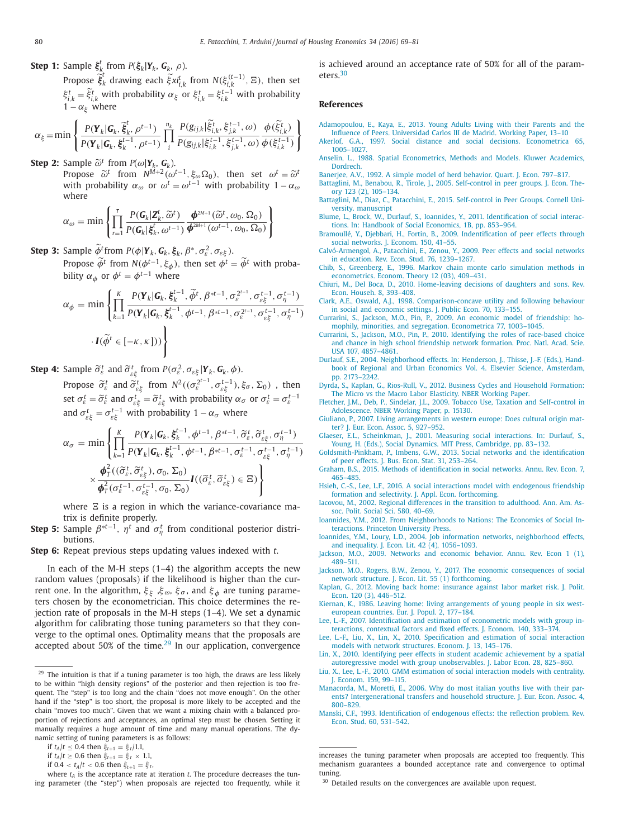<span id="page-11-0"></span>**Step 1:** Sample  $\xi_k^t$  from  $P(\xi_k | Y_k, G_k, \rho)$ .

Propose  $\widetilde{\xi}_k^t$  drawing each  $\widetilde{\xi} x_i^t$  from  $N(\xi_{i,k}^{(t-1)}, \Xi)$ , then set  $\xi_{i,k}^t = \tilde{\xi}_{i,k}^t$  with probability  $\alpha_{\xi}$  or  $\xi_{i,k}^t = \xi_{i,k}^{t-1}$  with probability  $1 - \alpha_{\xi}$  where

$$
\alpha_{\xi} = \min \left\{ \frac{P(\boldsymbol{Y}_k | \boldsymbol{G}_k, \tilde{\boldsymbol{\xi}}_k^t, \rho^{t-1})}{P(\boldsymbol{Y}_k | \boldsymbol{G}_k, \boldsymbol{\xi}_k^{t-1}, \rho^{t-1})} \prod_i^{n_k} \frac{P(g_{ij,k} | \tilde{\xi}_{i,k}^t, \xi_{j,k}^{t-1}, \omega)}{P(g_{ij,k} | \xi_{i,k}^{t-1}, \xi_{j,k}^{t-1}, \omega)} \frac{\phi(\tilde{\xi}_{i,k}^t)}{\phi(\xi_{i,k}^{t-1})} \right\}
$$

**Step 2:** Sample  $\widetilde{\omega}^t$  from  $P(\omega|\mathbf{Y}_k, \mathbf{G}_k)$ .

Propose  $\widetilde{\omega}^t$  from  $N^{M+2}(\omega^{t-1}, \xi_{\omega}\Omega_0)$ , then set  $\omega^t = \widetilde{\omega}^t$ with probability  $\alpha_{\omega}$  or  $\omega^{t} = \omega^{t-1}$  with probability  $1 - \alpha_{\omega}$ where

$$
\alpha_{\omega} = \min \left\{ \prod_{r=1}^{\bar{r}} \frac{P(\mathbf{G}_k | \mathbf{Z}_k^t, \widetilde{\omega}^t)}{P(\mathbf{G}_k | \boldsymbol{\xi}_k^t, \omega^{t-1})} \frac{\boldsymbol{\phi}^{2^{M+1}}(\widetilde{\omega}^t, \omega_0, \Omega_0)}{\boldsymbol{\phi}^{2^{M+1}}(\omega^{t-1}, \omega_0, \Omega_0)} \right\}
$$

**Step 3:** Sample  $\tilde{\phi}^t$  from  $P(\phi | \boldsymbol{Y}_k, \boldsymbol{G}_k, \boldsymbol{\xi}_k, \beta^*, \sigma_{\varepsilon}^2, \sigma_{\varepsilon \xi})$ . Propose  $\tilde{\phi}^t$  from  $N(\phi^{t-1}, \xi_{\phi})$ , then set  $\phi^t = \tilde{\phi}^t$  with probability  $\alpha_{\phi}$  or  $\phi^t = \phi^{t-1}$  where

$$
\alpha_{\phi} = \min \left\{ \prod_{k=1}^{K} \frac{P(\mathbf{Y}_k | \mathbf{G}_k, \boldsymbol{\xi}_k^{t-1}, \widetilde{\phi}^t, \beta^{*t-1}, \sigma_{\varepsilon}^{2^{t-1}}, \sigma_{\varepsilon_k^k}^{t-1}, \sigma_{\eta}^{t-1})}{P(\mathbf{Y}_k | \mathbf{G}_k, \boldsymbol{\xi}_k^{t-1}, \phi^{t-1}, \beta^{*t-1}, \sigma_{\varepsilon}^{2^{t-1}}, \sigma_{\varepsilon_k^k}^{t-1}, \sigma_{\eta}^{t-1})} \right\}
$$

**Step 4:** Sample  $\widetilde{\sigma}_{\varepsilon}^t$  and  $\widetilde{\sigma}_{\varepsilon\xi}^t$  from  $P(\sigma_{\varepsilon}^2, \sigma_{\varepsilon\xi} | Y_k, \mathbf{G}_k, \phi)$ .

Propose  $\tilde{\sigma}_{\varepsilon}^t$  and  $\tilde{\sigma}_{\varepsilon\xi}^t$  from  $N^2((\sigma_{\varepsilon}^{2^{t-1}}, \sigma_{\varepsilon\xi}^{t-1}), \xi_{\sigma}, \Sigma_0)$  , then set  $\sigma_{\varepsilon}^t = \tilde{\sigma}_{\varepsilon}^t$  and  $\sigma_{\varepsilon\xi}^t = \tilde{\sigma}_{\varepsilon\xi}^t$  with probability  $\alpha_{\sigma}$  or  $\sigma_{\varepsilon}^t = \sigma_{\varepsilon}^{t-1}$ and  $\sigma_{\varepsilon\xi}^t = \sigma_{\varepsilon\xi}^{t-1}$  with probability  $1 - \alpha_\sigma$  where

$$
\alpha_{\sigma} = \min \left\{ \prod_{k=1}^{K} \frac{P(\mathbf{Y}_{k}|\mathbf{G}_{k}, \boldsymbol{\xi}_{k}^{t-1}, \phi^{t-1}, \beta^{*t-1}, \widetilde{\sigma}_{\varepsilon}^{t}, \widetilde{\sigma}_{\varepsilon_{\xi}}^{t}, \sigma_{\eta}^{t-1})}{P(\mathbf{Y}_{k}|\mathbf{G}_{k}, \boldsymbol{\xi}_{k}^{t-1}, \phi^{t-1}, \beta^{*t-1}, \sigma_{\varepsilon}^{t-1}, \sigma_{\varepsilon_{\xi}}^{t-1}, \sigma_{\eta}^{t-1})} \times \frac{\boldsymbol{\phi}_{T}^{2}((\widetilde{\sigma}_{\varepsilon}^{t}, \widetilde{\sigma}_{\varepsilon_{\xi}}^{t}), \sigma_{0}, \Sigma_{0})}{\boldsymbol{\phi}_{T}^{2}(\sigma_{\varepsilon}^{t-1}, \sigma_{\varepsilon_{\xi}}^{t-1}, \sigma_{0}, \Sigma_{0})} \mathbf{I}((\widetilde{\sigma}_{\varepsilon}^{t}, \widetilde{\sigma}_{\varepsilon_{\xi}}^{t}) \in \Xi) \right\}
$$

where  $\Xi$  is a region in which the variance-covariance matrix is definite properly.

**Step 5:** Sample  $\beta^{*t-1}$ ,  $\eta^t$  and  $\sigma^t_\eta$  from conditional posterior distributions.

**Step 6:** Repeat previous steps updating values indexed with *t*.

In each of the M-H steps (1–4) the algorithm accepts the new random values (proposals) if the likelihood is higher than the current one. In the algorithm,  $\xi_{\varepsilon}$ ,  $\xi_{\omega}$ ,  $\xi_{\sigma}$ , and  $\xi_{\phi}$  are tuning parameters chosen by the econometrician. This choice determines the rejection rate of proposals in the M-H steps (1–4). We set a dynamic algorithm for calibrating those tuning parameters so that they converge to the optimal ones. Optimality means that the proposals are accepted about 50% of the time. $^{29}$  In our application, convergence

if  $0.4 < t_A/t < 0.6$  then  $\xi_{t+1} = \xi_t$ ,

where  $t_A$  is the acceptance rate at iteration  $t$ . The procedure decreases the tuning parameter (the "step") when proposals are rejected too frequently, while it is achieved around an acceptance rate of 50% for all of the parameters.<sup>30</sup>

#### **References**

- [Adamopoulou,](http://refhub.elsevier.com/S1051-1377(15)30016-4/sbref0001) E., [Kaya,](http://refhub.elsevier.com/S1051-1377(15)30016-4/sbref0001) E., 2013. Young Adults Living with their Parents and the Influence of Peers. [Universidad](http://refhub.elsevier.com/S1051-1377(15)30016-4/sbref0001) Carlos III de Madrid. [Working](http://refhub.elsevier.com/S1051-1377(15)30016-4/sbref0001) Paper, 13–10 [Akerlof,](http://refhub.elsevier.com/S1051-1377(15)30016-4/sbref0002) G.A., 1997. Social distance and social decisions. [Econometrica](http://refhub.elsevier.com/S1051-1377(15)30016-4/sbref0002) 65,
- 1005–1027. [Anselin,](http://refhub.elsevier.com/S1051-1377(15)30016-4/sbref0003) L., 1988. Spatial [Econometrics,](http://refhub.elsevier.com/S1051-1377(15)30016-4/sbref0003) Methods and Models. Kluwer Academics,
- Dordrech. [Banerjee,](http://refhub.elsevier.com/S1051-1377(15)30016-4/sbref0004) A.V., 1992. A simple model of herd [behavior.](http://refhub.elsevier.com/S1051-1377(15)30016-4/sbref0004) Quart. J. Econ. 797–817.
- [Battaglini,](http://refhub.elsevier.com/S1051-1377(15)30016-4/sbref0005) M., [Benabou,](http://refhub.elsevier.com/S1051-1377(15)30016-4/sbref0005) R., [Tirole,](http://refhub.elsevier.com/S1051-1377(15)30016-4/sbref0005) J., 2005. [Self-control](http://refhub.elsevier.com/S1051-1377(15)30016-4/sbref0005) in peer groups. J. Econ. The-
- ory 123 (2), 105–134. [Battaglini,](http://refhub.elsevier.com/S1051-1377(15)30016-4/sbref0006) M., [Diaz,](http://refhub.elsevier.com/S1051-1377(15)30016-4/sbref0006) C., [Patacchini,](http://refhub.elsevier.com/S1051-1377(15)30016-4/sbref0006) E., 2015. [Self-control](http://refhub.elsevier.com/S1051-1377(15)30016-4/sbref0006) in Peer Groups. Cornell University. [manuscript](http://refhub.elsevier.com/S1051-1377(15)30016-4/sbref0006)
- [Blume,](http://refhub.elsevier.com/S1051-1377(15)30016-4/sbref0007) L., [Brock,](http://refhub.elsevier.com/S1051-1377(15)30016-4/sbref0007) W., [Durlauf,](http://refhub.elsevier.com/S1051-1377(15)30016-4/sbref0007) S., [Ioannides,](http://refhub.elsevier.com/S1051-1377(15)30016-4/sbref0007) Y., 2011. [Identification](http://refhub.elsevier.com/S1051-1377(15)30016-4/sbref0007) of social interactions. In: Handbook of Social Economics, 1B, pp. 853–964.
- [Bramoullé,](http://refhub.elsevier.com/S1051-1377(15)30016-4/sbref0008) Y., [Djebbari,](http://refhub.elsevier.com/S1051-1377(15)30016-4/sbref0008) H., [Fortin,](http://refhub.elsevier.com/S1051-1377(15)30016-4/sbref0008) B., 2009. [Indentification](http://refhub.elsevier.com/S1051-1377(15)30016-4/sbref0008) of peer effects through social networks. J. Econom. 150, 41-55.
- [Calvó-Armengol,](http://refhub.elsevier.com/S1051-1377(15)30016-4/sbref0009) A., [Patacchini,](http://refhub.elsevier.com/S1051-1377(15)30016-4/sbref0009) E., [Zenou,](http://refhub.elsevier.com/S1051-1377(15)30016-4/sbref0009) Y., 2009. Peer effects and social networks in education. Rev. Econ. Stud. 76, 1239–1267.
- [Chib,](http://refhub.elsevier.com/S1051-1377(15)30016-4/sbref0010) S., [Greenberg,](http://refhub.elsevier.com/S1051-1377(15)30016-4/sbref0010) E., 1996. Markov chain monte carlo simulation methods in [econometrics.](http://refhub.elsevier.com/S1051-1377(15)30016-4/sbref0010) Econom. Theory 12 (03), 409–431.
- [Chiuri,](http://refhub.elsevier.com/S1051-1377(15)30016-4/sbref0011) M., Del [Boca,](http://refhub.elsevier.com/S1051-1377(15)30016-4/sbref0011) D., 2010. [Home-leaving](http://refhub.elsevier.com/S1051-1377(15)30016-4/sbref0011) decisions of daughters and sons. Rev. Econ. Househ. 8, 393–408.
- [Clark,](http://refhub.elsevier.com/S1051-1377(15)30016-4/sbref0012) A.E., [Oswald,](http://refhub.elsevier.com/S1051-1377(15)30016-4/sbref0012) A.J., 1998. [Comparison-concave](http://refhub.elsevier.com/S1051-1377(15)30016-4/sbref0012) utility and following behaviour in social and economic settings. J. Public Econ. 70, 133–155.
- [Currarini,](http://refhub.elsevier.com/S1051-1377(15)30016-4/sbref0013) S., [Jackson,](http://refhub.elsevier.com/S1051-1377(15)30016-4/sbref0013) M.O., [Pin,](http://refhub.elsevier.com/S1051-1377(15)30016-4/sbref0013) P., 2009. An economic model of friendship: homophily, minorities, and segregation. [Econometrica](http://refhub.elsevier.com/S1051-1377(15)30016-4/sbref0013) 77, 1003–1045.
- [Currarini,](http://refhub.elsevier.com/S1051-1377(15)30016-4/sbref0014) S., [Jackson,](http://refhub.elsevier.com/S1051-1377(15)30016-4/sbref0014) M.O., [Pin,](http://refhub.elsevier.com/S1051-1377(15)30016-4/sbref0014) P., 2010. Identifying the roles of race-based choice and chance in high school friendship network formation. Proc. Natl. Acad. Scie. USA 107, [4857–4861.](http://refhub.elsevier.com/S1051-1377(15)30016-4/sbref0014)
- [Durlauf,](http://refhub.elsevier.com/S1051-1377(15)30016-4/sbref0015) S.E., 2004. [Neighborhood](http://refhub.elsevier.com/S1051-1377(15)30016-4/sbref0015) effects. In: Henderson, J., Thisse, J.-F. (Eds.), Handbook of Regional and Urban Economics Vol. 4. Elsevier Science, Amsterdam, pp. 2173–2242.
- [Dyrda,](http://refhub.elsevier.com/S1051-1377(15)30016-4/sbref0016) S., [Kaplan,](http://refhub.elsevier.com/S1051-1377(15)30016-4/sbref0016) G., [Rios-Rull,](http://refhub.elsevier.com/S1051-1377(15)30016-4/sbref0016) V., 2012. Business Cycles and Household [Formation:](http://refhub.elsevier.com/S1051-1377(15)30016-4/sbref0016) The Micro vs the Macro Labor Elasticity. NBER Working Paper.
- [Fletcher,](http://refhub.elsevier.com/S1051-1377(15)30016-4/sbref0017) J.M., [Deb,](http://refhub.elsevier.com/S1051-1377(15)30016-4/sbref0017) P., [Sindelar,](http://refhub.elsevier.com/S1051-1377(15)30016-4/sbref0017) J.L., 2009. Tobacco Use, Taxation and Self-control in [Adolescence.](http://refhub.elsevier.com/S1051-1377(15)30016-4/sbref0017) NBER Working Paper, p. 15130.
- [Giuliano,](http://refhub.elsevier.com/S1051-1377(15)30016-4/sbref0018) P., 2007. Living [arrangements](http://refhub.elsevier.com/S1051-1377(15)30016-4/sbref0018) in western europe: Does cultural origin matter? J. Eur. Econ. Assoc. 5, 927–952.
- [Glaeser,](http://refhub.elsevier.com/S1051-1377(15)30016-4/sbref0019) E.L., [Scheinkman,](http://refhub.elsevier.com/S1051-1377(15)30016-4/sbref0019) J., 2001. Measuring social interactions. In: Durlauf, S., Young, H. (Eds.), Social Dynamics. MIT Press, Cambridge, pp. 83–132.
- [Goldsmith-Pinkham,](http://refhub.elsevier.com/S1051-1377(15)30016-4/sbref0020) P., [Imbens,](http://refhub.elsevier.com/S1051-1377(15)30016-4/sbref0020) G.W., 2013. Social networks and the identification of peer effects. J. Bus. Econ. Stat. 31, 253–264.
- [Graham,](http://refhub.elsevier.com/S1051-1377(15)30016-4/sbref0021) B.S., 2015. Methods of [identification](http://refhub.elsevier.com/S1051-1377(15)30016-4/sbref0021) in social networks. Annu. Rev. Econ. 7, 465–485.
- [Hsieh,](http://refhub.elsevier.com/S1051-1377(15)30016-4/sbref0022) C.-S., [Lee,](http://refhub.elsevier.com/S1051-1377(15)30016-4/sbref0022) L.F., 2016. A social interactions model with endogenous friendship formation and selectivity. J. Appl. Econ. [forthcoming.](http://refhub.elsevier.com/S1051-1377(15)30016-4/sbref0022)
- [Iacovou,](http://refhub.elsevier.com/S1051-1377(15)30016-4/sbref0023) M., 2002. Regional [differences](http://refhub.elsevier.com/S1051-1377(15)30016-4/sbref0023) in the transition to adulthood. Ann. Am. Assoc. Polit. Social Sci. 580, 40–69.
- [Ioannides,](http://refhub.elsevier.com/S1051-1377(15)30016-4/sbref0024) Y.M., 2012. From [Neighborhoods](http://refhub.elsevier.com/S1051-1377(15)30016-4/sbref0024) to Nations: The Economics of Social Interactions. Princeton University Press.
- [Ioannides,](http://refhub.elsevier.com/S1051-1377(15)30016-4/sbref0025) Y.M., [Loury,](http://refhub.elsevier.com/S1051-1377(15)30016-4/sbref0025) L.D., 2004. Job information networks, [neighborhood](http://refhub.elsevier.com/S1051-1377(15)30016-4/sbref0025) effects, and inequality. J. Econ. Lit. 42 (4), 1056–1093.
- [Jackson,](http://refhub.elsevier.com/S1051-1377(15)30016-4/sbref0026) M.O., 2009. Networks and [economic](http://refhub.elsevier.com/S1051-1377(15)30016-4/sbref0026) behavior. Annu. Rev. Econ 1 (1), 489–511.
- [Jackson,](http://refhub.elsevier.com/S1051-1377(15)30016-4/sbref1026) M.O., [Rogers,](http://refhub.elsevier.com/S1051-1377(15)30016-4/sbref1026) B.W., [Zenou,](http://refhub.elsevier.com/S1051-1377(15)30016-4/sbref1026) Y., 2017. The economic [consequences](http://refhub.elsevier.com/S1051-1377(15)30016-4/sbref1026) of social network structure. J. Econ. Lit. 55 (1) forthcoming.
- [Kaplan,](http://refhub.elsevier.com/S1051-1377(15)30016-4/sbref0027) G., 2012. Moving back home: [insurance](http://refhub.elsevier.com/S1051-1377(15)30016-4/sbref0027) against labor market risk. J. Polit. Econ. 120 (3), 446–512.
- [Kiernan,](http://refhub.elsevier.com/S1051-1377(15)30016-4/sbref0028) K., 1986. Leaving home: living [arrangements](http://refhub.elsevier.com/S1051-1377(15)30016-4/sbref0028) of young people in six westeuropean countries. Eur. J. Popul. 2, 177–184.
- Lee, [L.-F.,](http://refhub.elsevier.com/S1051-1377(15)30016-4/sbref0029) 2007. [Identification](http://refhub.elsevier.com/S1051-1377(15)30016-4/sbref0029) and estimation of econometric models with group interactions, contextual factors and fixed effects. J. Econom. 140, 333–374.
- Lee, [L.-F.,](http://refhub.elsevier.com/S1051-1377(15)30016-4/sbref0030) [Liu,](http://refhub.elsevier.com/S1051-1377(15)30016-4/sbref0030) X., [Lin,](http://refhub.elsevier.com/S1051-1377(15)30016-4/sbref0030) X., 2010. [Specification](http://refhub.elsevier.com/S1051-1377(15)30016-4/sbref0030) and estimation of social interaction models with network structures. Econom. J. 13, 145–176.
- [Lin,](http://refhub.elsevier.com/S1051-1377(15)30016-4/sbref0031) X., 2010. Identifying peer effects in student academic achievement by a spatial autoregressive model with group [unobservables.](http://refhub.elsevier.com/S1051-1377(15)30016-4/sbref0031) J. Labor Econ. 28, 825–860.
- [Liu,](http://refhub.elsevier.com/S1051-1377(15)30016-4/sbref0032) X., Lee, [L.-F.,](http://refhub.elsevier.com/S1051-1377(15)30016-4/sbref0032) 2010. GMM estimation of social [interaction](http://refhub.elsevier.com/S1051-1377(15)30016-4/sbref0032) models with centrality. J. Econom. 159, 99–115.
- [Manacorda,](http://refhub.elsevier.com/S1051-1377(15)30016-4/sbref0033) M., [Moretti,](http://refhub.elsevier.com/S1051-1377(15)30016-4/sbref0033) E., 2006. Why do most italian youths live with their par-ents? [Intergenerational](http://refhub.elsevier.com/S1051-1377(15)30016-4/sbref0033) transfers and household structure. I. Eur. Econ. Assoc. 4, 800–829.
- [Manski,](http://refhub.elsevier.com/S1051-1377(15)30016-4/sbref0034) C.F., 1993. [Identification](http://refhub.elsevier.com/S1051-1377(15)30016-4/sbref0034) of endogenous effects: the reflection problem. Rev. Econ. Stud. 60, 531–542.

<sup>&</sup>lt;sup>29</sup> The intuition is that if a tuning parameter is too high, the draws are less likely to be within "high density regions" of the posterior and then rejection is too frequent. The "step" is too long and the chain "does not move enough". On the other hand if the "step" is too short, the proposal is more likely to be accepted and the chain "moves too much". Given that we want a mixing chain with a balanced proportion of rejections and acceptances, an optimal step must be chosen. Setting it manually requires a huge amount of time and many manual operations. The dynamic setting of tuning parameters is as follows:

if  $t_A/t \leq 0.4$  then  $\xi_{t+1} = \xi_t/1.1$ ,

if  $t_A/t \geq 0.6$  then  $\xi_{t+1} = \xi_t \times 1.1$ ,

increases the tuning parameter when proposals are accepted too frequently. This mechanism guarantees a bounded acceptance rate and convergence to optimal tuning.

<sup>&</sup>lt;sup>30</sup> Detailed results on the convergences are available upon request.